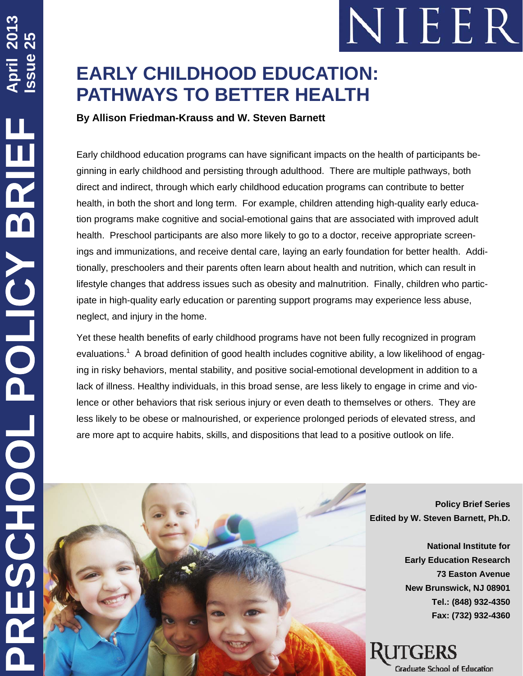

# **EARLY CHILDHOOD EDUCATION: PATHWAYS TO BETTER HEALTH**

**By Allison Friedman-Krauss and W. Steven Barnett** 

Early childhood education programs can have significant impacts on the health of participants beginning in early childhood and persisting through adulthood. There are multiple pathways, both direct and indirect, through which early childhood education programs can contribute to better health, in both the short and long term. For example, children attending high-quality early education programs make cognitive and social-emotional gains that are associated with improved adult health. Preschool participants are also more likely to go to a doctor, receive appropriate screenings and immunizations, and receive dental care, laying an early foundation for better health. Additionally, preschoolers and their parents often learn about health and nutrition, which can result in lifestyle changes that address issues such as obesity and malnutrition. Finally, children who participate in high-quality early education or parenting support programs may experience less abuse, neglect, and injury in the home.

Yet these health benefits of early childhood programs have not been fully recognized in program evaluations.<sup>1</sup> A broad definition of good health includes cognitive ability, a low likelihood of engaging in risky behaviors, mental stability, and positive social-emotional development in addition to a lack of illness. Healthy individuals, in this broad sense, are less likely to engage in crime and violence or other behaviors that risk serious injury or even death to themselves or others. They are less likely to be obese or malnourished, or experience prolonged periods of elevated stress, and are more apt to acquire habits, skills, and dispositions that lead to a positive outlook on life.



**Policy Brief Series Edited by W. Steven Barnett, Ph.D.** 

> **National Institute for Early Education Research 73 Easton Avenue New Brunswick, NJ 08901 Tel.: (848) 932-4350 Fax: (732) 932-4360**

Graduate School of Education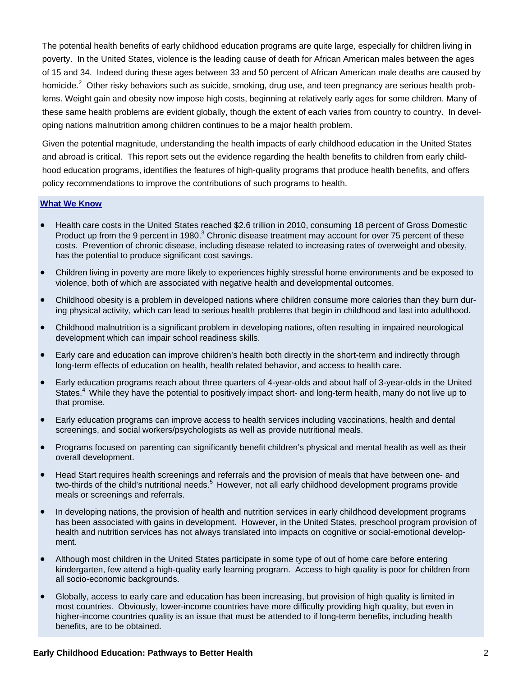The potential health benefits of early childhood education programs are quite large, especially for children living in poverty. In the United States, violence is the leading cause of death for African American males between the ages of 15 and 34. Indeed during these ages between 33 and 50 percent of African American male deaths are caused by homicide.<sup>2</sup> Other risky behaviors such as suicide, smoking, drug use, and teen pregnancy are serious health problems. Weight gain and obesity now impose high costs, beginning at relatively early ages for some children. Many of these same health problems are evident globally, though the extent of each varies from country to country. In developing nations malnutrition among children continues to be a major health problem.

Given the potential magnitude, understanding the health impacts of early childhood education in the United States and abroad is critical. This report sets out the evidence regarding the health benefits to children from early childhood education programs, identifies the features of high-quality programs that produce health benefits, and offers policy recommendations to improve the contributions of such programs to health.

## **What We Know**

- Health care costs in the United States reached \$2.6 trillion in 2010, consuming 18 percent of Gross Domestic Product up from the 9 percent in 1980.<sup>3</sup> Chronic disease treatment may account for over 75 percent of these costs. Prevention of chronic disease, including disease related to increasing rates of overweight and obesity, has the potential to produce significant cost savings.
- Children living in poverty are more likely to experiences highly stressful home environments and be exposed to violence, both of which are associated with negative health and developmental outcomes.
- Childhood obesity is a problem in developed nations where children consume more calories than they burn during physical activity, which can lead to serious health problems that begin in childhood and last into adulthood.
- Childhood malnutrition is a significant problem in developing nations, often resulting in impaired neurological development which can impair school readiness skills.
- Early care and education can improve children's health both directly in the short-term and indirectly through long-term effects of education on health, health related behavior, and access to health care.
- Early education programs reach about three quarters of 4-year-olds and about half of 3-year-olds in the United States.<sup>4</sup> While they have the potential to positively impact short- and long-term health, many do not live up to that promise.
- Early education programs can improve access to health services including vaccinations, health and dental screenings, and social workers/psychologists as well as provide nutritional meals.
- Programs focused on parenting can significantly benefit children's physical and mental health as well as their overall development.
- Head Start requires health screenings and referrals and the provision of meals that have between one- and two-thirds of the child's nutritional needs.<sup>5</sup> However, not all early childhood development programs provide meals or screenings and referrals.
- In developing nations, the provision of health and nutrition services in early childhood development programs has been associated with gains in development. However, in the United States, preschool program provision of health and nutrition services has not always translated into impacts on cognitive or social-emotional development.
- Although most children in the United States participate in some type of out of home care before entering kindergarten, few attend a high-quality early learning program. Access to high quality is poor for children from all socio-economic backgrounds.
- Globally, access to early care and education has been increasing, but provision of high quality is limited in most countries. Obviously, lower-income countries have more difficulty providing high quality, but even in higher-income countries quality is an issue that must be attended to if long-term benefits, including health benefits, are to be obtained.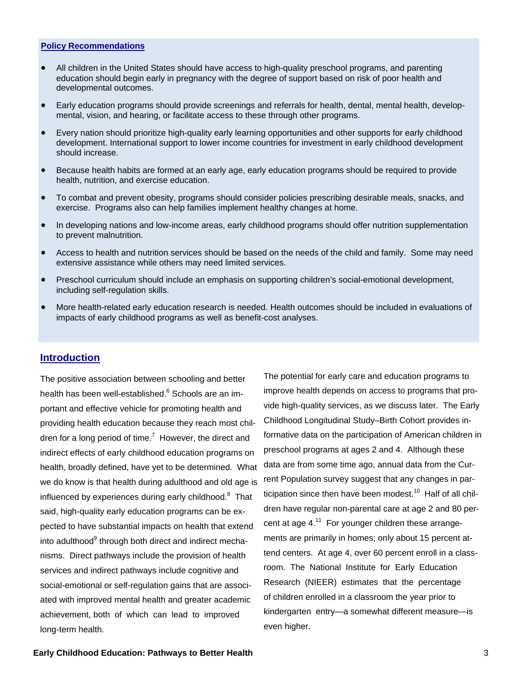### **Policy Recommendations**

- All children in the United States should have access to high-quality preschool programs, and parenting education should begin early in pregnancy with the degree of support based on risk of poor health and developmental outcomes.
- Early education programs should provide screenings and referrals for health, dental, mental health, developmental, vision, and hearing, or facilitate access to these through other programs.
- Every nation should prioritize high-quality early learning opportunities and other supports for early childhood development. International support to lower income countries for investment in early childhood development should increase.
- Because health habits are formed at an early age, early education programs should be required to provide health, nutrition, and exercise education.
- To combat and prevent obesity, programs should consider policies prescribing desirable meals, snacks, and exercise. Programs also can help families implement healthy changes at home.
- In developing nations and low-income areas, early childhood programs should offer nutrition supplementation to prevent malnutrition.
- Access to health and nutrition services should be based on the needs of the child and family. Some may need extensive assistance while others may need limited services.
- Preschool curriculum should include an emphasis on supporting children's social-emotional development, including self-regulation skills.
- More health-related early education research is needed. Health outcomes should be included in evaluations of impacts of early childhood programs as well as benefit-cost analyses.

## **Introduction**

The positive association between schooling and better health has been well-established.<sup>6</sup> Schools are an important and effective vehicle for promoting health and providing health education because they reach most children for a long period of time. $^7$  However, the direct and indirect effects of early childhood education programs on health, broadly defined, have yet to be determined. What we do know is that health during adulthood and old age is influenced by experiences during early childhood.<sup>8</sup> That said, high-quality early education programs can be expected to have substantial impacts on health that extend into adulthood<sup>9</sup> through both direct and indirect mechanisms. Direct pathways include the provision of health services and indirect pathways include cognitive and social-emotional or self-regulation gains that are associated with improved mental health and greater academic achievement, both of which can lead to improved long-term health.

The potential for early care and education programs to improve health depends on access to programs that provide high-quality services, as we discuss later. The Early Childhood Longitudinal Study–Birth Cohort provides informative data on the participation of American children in preschool programs at ages 2 and 4. Although these data are from some time ago, annual data from the Current Population survey suggest that any changes in participation since then have been modest.<sup>10</sup> Half of all children have regular non-parental care at age 2 and 80 percent at age  $4^{11}$ . For younger children these arrangements are primarily in homes; only about 15 percent attend centers. At age 4, over 60 percent enroll in a classroom. The National Institute for Early Education Research (NIEER) estimates that the percentage of children enrolled in a classroom the year prior to kindergarten entry—a somewhat different measure—is even higher.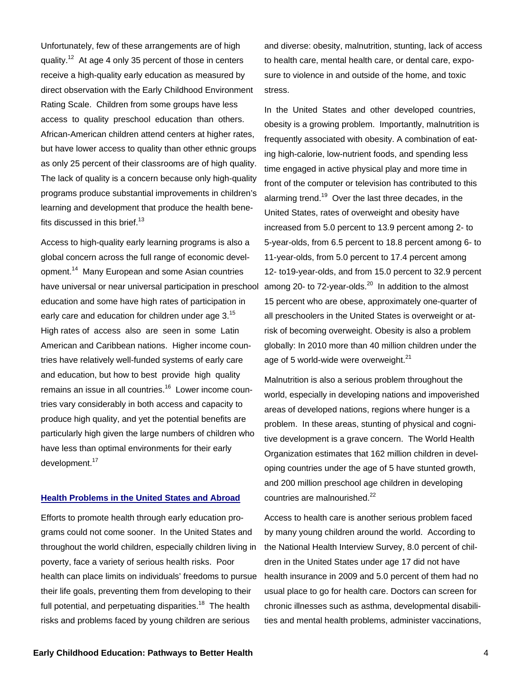Unfortunately, few of these arrangements are of high quality.<sup>12</sup> At age 4 only 35 percent of those in centers receive a high-quality early education as measured by direct observation with the Early Childhood Environment Rating Scale. Children from some groups have less access to quality preschool education than others. African-American children attend centers at higher rates, but have lower access to quality than other ethnic groups as only 25 percent of their classrooms are of high quality. The lack of quality is a concern because only high-quality programs produce substantial improvements in children's learning and development that produce the health benefits discussed in this brief. $13$ 

Access to high-quality early learning programs is also a global concern across the full range of economic development.14 Many European and some Asian countries have universal or near universal participation in preschool education and some have high rates of participation in early care and education for children under age 3.<sup>15</sup> High rates of access also are seen in some Latin American and Caribbean nations. Higher income countries have relatively well-funded systems of early care and education, but how to best provide high quality remains an issue in all countries.16 Lower income countries vary considerably in both access and capacity to produce high quality, and yet the potential benefits are particularly high given the large numbers of children who have less than optimal environments for their early development.<sup>17</sup>

## **Health Problems in the United States and Abroad**

Efforts to promote health through early education programs could not come sooner. In the United States and throughout the world children, especially children living in poverty, face a variety of serious health risks. Poor health can place limits on individuals' freedoms to pursue their life goals, preventing them from developing to their full potential, and perpetuating disparities.<sup>18</sup> The health risks and problems faced by young children are serious

and diverse: obesity, malnutrition, stunting, lack of access to health care, mental health care, or dental care, exposure to violence in and outside of the home, and toxic stress.

In the United States and other developed countries, obesity is a growing problem. Importantly, malnutrition is frequently associated with obesity. A combination of eating high-calorie, low-nutrient foods, and spending less time engaged in active physical play and more time in front of the computer or television has contributed to this alarming trend.<sup>19</sup> Over the last three decades, in the United States, rates of overweight and obesity have increased from 5.0 percent to 13.9 percent among 2- to 5-year-olds, from 6.5 percent to 18.8 percent among 6- to 11-year-olds, from 5.0 percent to 17.4 percent among 12- to19-year-olds, and from 15.0 percent to 32.9 percent among 20- to 72-year-olds. $^{20}$  In addition to the almost 15 percent who are obese, approximately one-quarter of all preschoolers in the United States is overweight or atrisk of becoming overweight. Obesity is also a problem globally: In 2010 more than 40 million children under the age of 5 world-wide were overweight. $21$ 

Malnutrition is also a serious problem throughout the world, especially in developing nations and impoverished areas of developed nations, regions where hunger is a problem. In these areas, stunting of physical and cognitive development is a grave concern. The World Health Organization estimates that 162 million children in developing countries under the age of 5 have stunted growth, and 200 million preschool age children in developing countries are malnourished.<sup>22</sup>

Access to health care is another serious problem faced by many young children around the world. According to the National Health Interview Survey, 8.0 percent of children in the United States under age 17 did not have health insurance in 2009 and 5.0 percent of them had no usual place to go for health care. Doctors can screen for chronic illnesses such as asthma, developmental disabilities and mental health problems, administer vaccinations,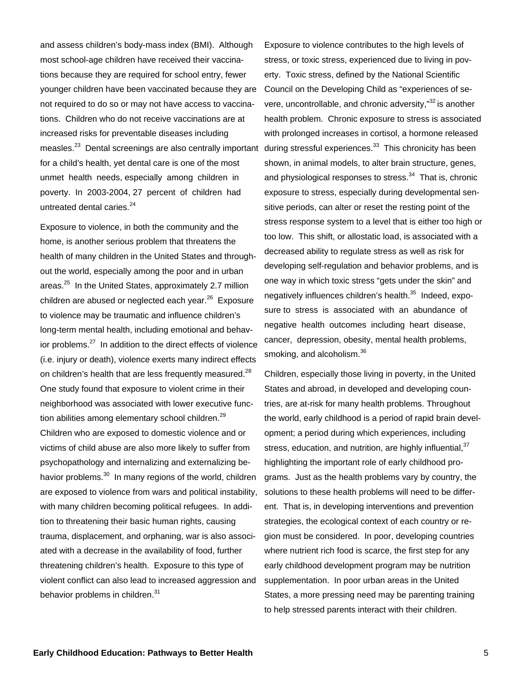and assess children's body-mass index (BMI). Although most school-age children have received their vaccinations because they are required for school entry, fewer younger children have been vaccinated because they are not required to do so or may not have access to vaccinations. Children who do not receive vaccinations are at increased risks for preventable diseases including measles.<sup>23</sup> Dental screenings are also centrally important for a child's health, yet dental care is one of the most unmet health needs, especially among children in poverty. In 2003-2004, 27 percent of children had untreated dental caries.<sup>24</sup>

Exposure to violence, in both the community and the home, is another serious problem that threatens the health of many children in the United States and throughout the world, especially among the poor and in urban areas.<sup>25</sup> In the United States, approximately 2.7 million children are abused or neglected each year. $^{26}$  Exposure to violence may be traumatic and influence children's long-term mental health, including emotional and behavior problems.27 In addition to the direct effects of violence (i.e. injury or death), violence exerts many indirect effects on children's health that are less frequently measured.<sup>28</sup> One study found that exposure to violent crime in their neighborhood was associated with lower executive function abilities among elementary school children.<sup>29</sup> Children who are exposed to domestic violence and or victims of child abuse are also more likely to suffer from psychopathology and internalizing and externalizing behavior problems.<sup>30</sup> In many regions of the world, children are exposed to violence from wars and political instability, with many children becoming political refugees. In addition to threatening their basic human rights, causing trauma, displacement, and orphaning, war is also associated with a decrease in the availability of food, further threatening children's health. Exposure to this type of violent conflict can also lead to increased aggression and behavior problems in children.<sup>31</sup>

Exposure to violence contributes to the high levels of stress, or toxic stress, experienced due to living in poverty. Toxic stress, defined by the National Scientific Council on the Developing Child as "experiences of severe, uncontrollable, and chronic adversity,"<sup>32</sup> is another health problem. Chronic exposure to stress is associated with prolonged increases in cortisol, a hormone released during stressful experiences.<sup>33</sup> This chronicity has been shown, in animal models, to alter brain structure, genes, and physiological responses to stress.<sup>34</sup> That is, chronic exposure to stress, especially during developmental sensitive periods, can alter or reset the resting point of the stress response system to a level that is either too high or too low. This shift, or allostatic load, is associated with a decreased ability to regulate stress as well as risk for developing self-regulation and behavior problems, and is one way in which toxic stress "gets under the skin" and negatively influences children's health.<sup>35</sup> Indeed, exposure to stress is associated with an abundance of negative health outcomes including heart disease, cancer, depression, obesity, mental health problems, smoking, and alcoholism.<sup>36</sup>

Children, especially those living in poverty, in the United States and abroad, in developed and developing countries, are at-risk for many health problems. Throughout the world, early childhood is a period of rapid brain development; a period during which experiences, including stress, education, and nutrition, are highly influential,  $37$ highlighting the important role of early childhood programs. Just as the health problems vary by country, the solutions to these health problems will need to be different. That is, in developing interventions and prevention strategies, the ecological context of each country or region must be considered. In poor, developing countries where nutrient rich food is scarce, the first step for any early childhood development program may be nutrition supplementation. In poor urban areas in the United States, a more pressing need may be parenting training to help stressed parents interact with their children.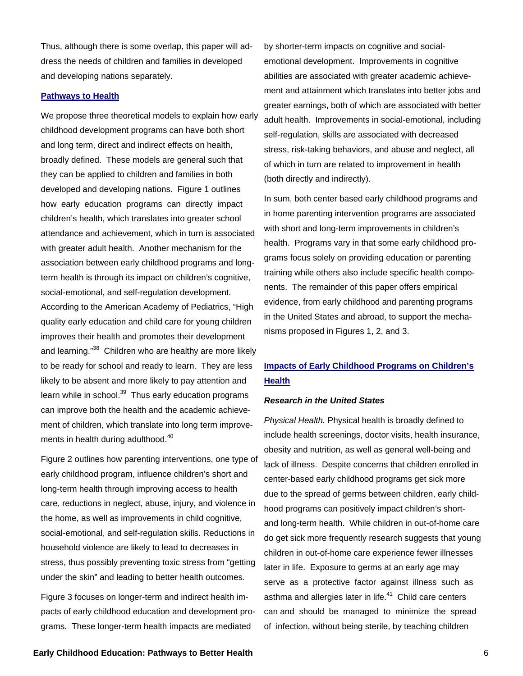Thus, although there is some overlap, this paper will address the needs of children and families in developed and developing nations separately.

## **Pathways to Health**

We propose three theoretical models to explain how early childhood development programs can have both short and long term, direct and indirect effects on health, broadly defined. These models are general such that they can be applied to children and families in both developed and developing nations. Figure 1 outlines how early education programs can directly impact children's health, which translates into greater school attendance and achievement, which in turn is associated with greater adult health. Another mechanism for the association between early childhood programs and longterm health is through its impact on children's cognitive, social-emotional, and self-regulation development. According to the American Academy of Pediatrics, "High quality early education and child care for young children improves their health and promotes their development and learning."<sup>38</sup> Children who are healthy are more likely to be ready for school and ready to learn. They are less likely to be absent and more likely to pay attention and learn while in school.<sup>39</sup> Thus early education programs can improve both the health and the academic achievement of children, which translate into long term improvements in health during adulthood.<sup>40</sup>

Figure 2 outlines how parenting interventions, one type of early childhood program, influence children's short and long-term health through improving access to health care, reductions in neglect, abuse, injury, and violence in the home, as well as improvements in child cognitive, social-emotional, and self-regulation skills. Reductions in household violence are likely to lead to decreases in stress, thus possibly preventing toxic stress from "getting under the skin" and leading to better health outcomes.

Figure 3 focuses on longer-term and indirect health impacts of early childhood education and development programs. These longer-term health impacts are mediated

by shorter-term impacts on cognitive and socialemotional development. Improvements in cognitive abilities are associated with greater academic achievement and attainment which translates into better jobs and greater earnings, both of which are associated with better adult health. Improvements in social-emotional, including self-regulation, skills are associated with decreased stress, risk-taking behaviors, and abuse and neglect, all of which in turn are related to improvement in health (both directly and indirectly).

In sum, both center based early childhood programs and in home parenting intervention programs are associated with short and long-term improvements in children's health. Programs vary in that some early childhood programs focus solely on providing education or parenting training while others also include specific health components. The remainder of this paper offers empirical evidence, from early childhood and parenting programs in the United States and abroad, to support the mechanisms proposed in Figures 1, 2, and 3.

## **Impacts of Early Childhood Programs on Children's Health**

### *Research in the United States*

*Physical Health.* Physical health is broadly defined to include health screenings, doctor visits, health insurance, obesity and nutrition, as well as general well-being and lack of illness. Despite concerns that children enrolled in center-based early childhood programs get sick more due to the spread of germs between children, early childhood programs can positively impact children's shortand long-term health. While children in out-of-home care do get sick more frequently research suggests that young children in out-of-home care experience fewer illnesses later in life. Exposure to germs at an early age may serve as a protective factor against illness such as asthma and allergies later in life.<sup>41</sup> Child care centers can and should be managed to minimize the spread of infection, without being sterile, by teaching children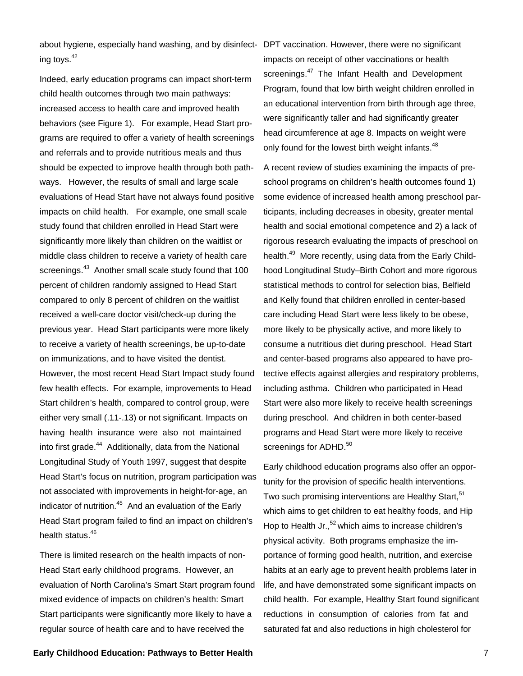about hygiene, especially hand washing, and by disinfect-DPT vaccination. However, there were no significant ing toys. $42$ 

Indeed, early education programs can impact short-term child health outcomes through two main pathways: increased access to health care and improved health behaviors (see Figure 1). For example, Head Start programs are required to offer a variety of health screenings and referrals and to provide nutritious meals and thus should be expected to improve health through both pathways. However, the results of small and large scale evaluations of Head Start have not always found positive impacts on child health. For example, one small scale study found that children enrolled in Head Start were significantly more likely than children on the waitlist or middle class children to receive a variety of health care screenings.<sup>43</sup> Another small scale study found that 100 percent of children randomly assigned to Head Start compared to only 8 percent of children on the waitlist received a well-care doctor visit/check-up during the previous year. Head Start participants were more likely to receive a variety of health screenings, be up-to-date on immunizations, and to have visited the dentist. However, the most recent Head Start Impact study found few health effects. For example, improvements to Head Start children's health, compared to control group, were either very small (.11-.13) or not significant. Impacts on having health insurance were also not maintained into first grade.<sup>44</sup> Additionally, data from the National Longitudinal Study of Youth 1997, suggest that despite Head Start's focus on nutrition, program participation was not associated with improvements in height-for-age, an indicator of nutrition. $45$  And an evaluation of the Early Head Start program failed to find an impact on children's health status.<sup>46</sup>

There is limited research on the health impacts of non-Head Start early childhood programs. However, an evaluation of North Carolina's Smart Start program found mixed evidence of impacts on children's health: Smart Start participants were significantly more likely to have a regular source of health care and to have received the

impacts on receipt of other vaccinations or health screenings.<sup>47</sup> The Infant Health and Development Program, found that low birth weight children enrolled in an educational intervention from birth through age three, were significantly taller and had significantly greater head circumference at age 8. Impacts on weight were only found for the lowest birth weight infants.<sup>48</sup>

A recent review of studies examining the impacts of preschool programs on children's health outcomes found 1) some evidence of increased health among preschool participants, including decreases in obesity, greater mental health and social emotional competence and 2) a lack of rigorous research evaluating the impacts of preschool on health.<sup>49</sup> More recently, using data from the Early Childhood Longitudinal Study–Birth Cohort and more rigorous statistical methods to control for selection bias, Belfield and Kelly found that children enrolled in center-based care including Head Start were less likely to be obese, more likely to be physically active, and more likely to consume a nutritious diet during preschool. Head Start and center-based programs also appeared to have protective effects against allergies and respiratory problems, including asthma. Children who participated in Head Start were also more likely to receive health screenings during preschool. And children in both center-based programs and Head Start were more likely to receive screenings for ADHD.<sup>50</sup>

Early childhood education programs also offer an opportunity for the provision of specific health interventions. Two such promising interventions are Healthy Start,<sup>51</sup> which aims to get children to eat healthy foods, and Hip Hop to Health Jr., $52$  which aims to increase children's physical activity. Both programs emphasize the importance of forming good health, nutrition, and exercise habits at an early age to prevent health problems later in life, and have demonstrated some significant impacts on child health. For example, Healthy Start found significant reductions in consumption of calories from fat and saturated fat and also reductions in high cholesterol for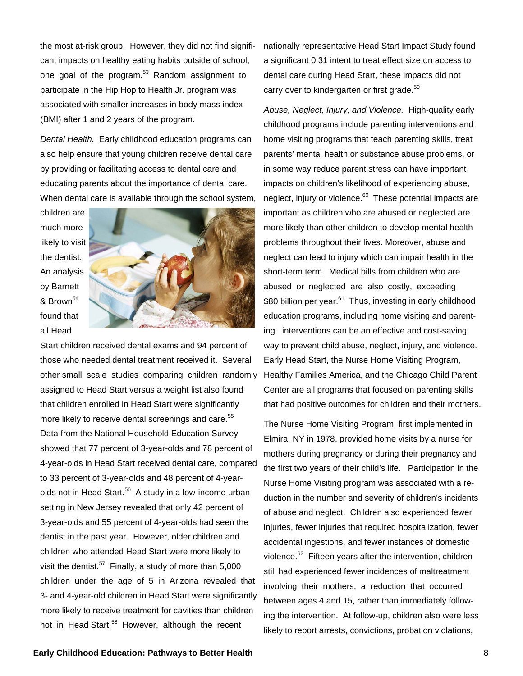the most at-risk group. However, they did not find significant impacts on healthy eating habits outside of school, one goal of the program.<sup>53</sup> Random assignment to participate in the Hip Hop to Health Jr. program was associated with smaller increases in body mass index (BMI) after 1 and 2 years of the program.

*Dental Health.* Early childhood education programs can also help ensure that young children receive dental care by providing or facilitating access to dental care and educating parents about the importance of dental care. When dental care is available through the school system,

children are much more likely to visit the dentist. An analysis by Barnett & Brown<sup>54</sup> found that all Head



Start children received dental exams and 94 percent of those who needed dental treatment received it. Several other small scale studies comparing children randomly assigned to Head Start versus a weight list also found that children enrolled in Head Start were significantly more likely to receive dental screenings and care.<sup>55</sup> Data from the National Household Education Survey showed that 77 percent of 3-year-olds and 78 percent of 4-year-olds in Head Start received dental care, compared to 33 percent of 3-year-olds and 48 percent of 4-yearolds not in Head Start.<sup>56</sup> A study in a low-income urban setting in New Jersey revealed that only 42 percent of 3-year-olds and 55 percent of 4-year-olds had seen the dentist in the past year. However, older children and children who attended Head Start were more likely to visit the dentist.<sup>57</sup> Finally, a study of more than  $5,000$ children under the age of 5 in Arizona revealed that 3- and 4-year-old children in Head Start were significantly more likely to receive treatment for cavities than children not in Head Start.<sup>58</sup> However, although the recent

nationally representative Head Start Impact Study found a significant 0.31 intent to treat effect size on access to dental care during Head Start, these impacts did not carry over to kindergarten or first grade.<sup>59</sup>

*Abuse, Neglect, Injury, and Violence.* High-quality early childhood programs include parenting interventions and home visiting programs that teach parenting skills, treat parents' mental health or substance abuse problems, or in some way reduce parent stress can have important impacts on children's likelihood of experiencing abuse, neglect, injury or violence.<sup>60</sup> These potential impacts are important as children who are abused or neglected are more likely than other children to develop mental health problems throughout their lives. Moreover, abuse and neglect can lead to injury which can impair health in the short-term term. Medical bills from children who are abused or neglected are also costly, exceeding \$80 billion per year.<sup>61</sup> Thus, investing in early childhood education programs, including home visiting and parenting interventions can be an effective and cost-saving way to prevent child abuse, neglect, injury, and violence. Early Head Start, the Nurse Home Visiting Program, Healthy Families America, and the Chicago Child Parent Center are all programs that focused on parenting skills that had positive outcomes for children and their mothers.

The Nurse Home Visiting Program, first implemented in Elmira, NY in 1978, provided home visits by a nurse for mothers during pregnancy or during their pregnancy and the first two years of their child's life. Participation in the Nurse Home Visiting program was associated with a reduction in the number and severity of children's incidents of abuse and neglect. Children also experienced fewer injuries, fewer injuries that required hospitalization, fewer accidental ingestions, and fewer instances of domestic violence.<sup>62</sup> Fifteen years after the intervention, children still had experienced fewer incidences of maltreatment involving their mothers, a reduction that occurred between ages 4 and 15, rather than immediately following the intervention. At follow-up, children also were less likely to report arrests, convictions, probation violations,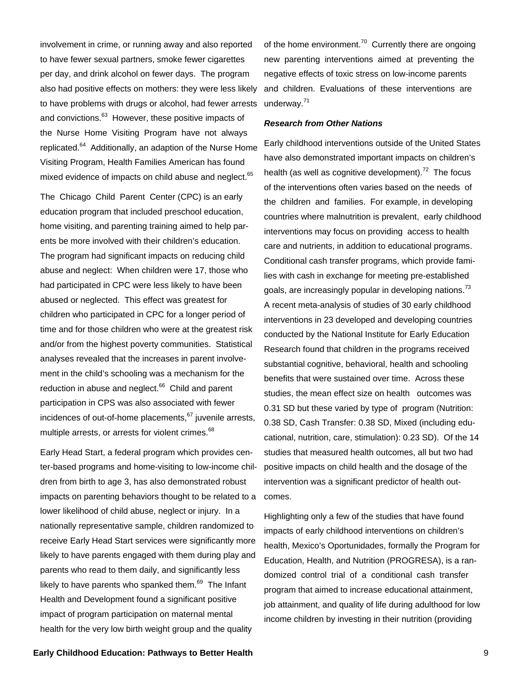involvement in crime, or running away and also reported to have fewer sexual partners, smoke fewer cigarettes per day, and drink alcohol on fewer days. The program also had positive effects on mothers: they were less likely to have problems with drugs or alcohol, had fewer arrests and convictions.<sup>63</sup> However, these positive impacts of the Nurse Home Visiting Program have not always replicated.64 Additionally, an adaption of the Nurse Home Visiting Program, Health Families American has found mixed evidence of impacts on child abuse and neglect.<sup>65</sup>

The Chicago Child Parent Center (CPC) is an early education program that included preschool education, home visiting, and parenting training aimed to help parents be more involved with their children's education. The program had significant impacts on reducing child abuse and neglect: When children were 17, those who had participated in CPC were less likely to have been abused or neglected. This effect was greatest for children who participated in CPC for a longer period of time and for those children who were at the greatest risk and/or from the highest poverty communities. Statistical analyses revealed that the increases in parent involvement in the child's schooling was a mechanism for the reduction in abuse and neglect.<sup>66</sup> Child and parent participation in CPS was also associated with fewer incidences of out-of-home placements, $67$  juvenile arrests, multiple arrests, or arrests for violent crimes.<sup>68</sup>

Early Head Start, a federal program which provides center-based programs and home-visiting to low-income children from birth to age 3, has also demonstrated robust impacts on parenting behaviors thought to be related to a lower likelihood of child abuse, neglect or injury. In a nationally representative sample, children randomized to receive Early Head Start services were significantly more likely to have parents engaged with them during play and parents who read to them daily, and significantly less likely to have parents who spanked them. $69$  The Infant Health and Development found a significant positive impact of program participation on maternal mental health for the very low birth weight group and the quality

of the home environment.<sup>70</sup> Currently there are ongoing new parenting interventions aimed at preventing the negative effects of toxic stress on low-income parents and children. Evaluations of these interventions are underway.71

#### *Research from Other Nations*

Early childhood interventions outside of the United States have also demonstrated important impacts on children's health (as well as cognitive development).<sup>72</sup> The focus of the interventions often varies based on the needs of the children and families. For example, in developing countries where malnutrition is prevalent, early childhood interventions may focus on providing access to health care and nutrients, in addition to educational programs. Conditional cash transfer programs, which provide families with cash in exchange for meeting pre-established goals, are increasingly popular in developing nations.<sup>73</sup> A recent meta-analysis of studies of 30 early childhood interventions in 23 developed and developing countries conducted by the National Institute for Early Education Research found that children in the programs received substantial cognitive, behavioral, health and schooling benefits that were sustained over time. Across these studies, the mean effect size on health outcomes was 0.31 SD but these varied by type of program (Nutrition: 0.38 SD, Cash Transfer: 0.38 SD, Mixed (including educational, nutrition, care, stimulation): 0.23 SD). Of the 14 studies that measured health outcomes, all but two had positive impacts on child health and the dosage of the intervention was a significant predictor of health outcomes.

Highlighting only a few of the studies that have found impacts of early childhood interventions on children's health, Mexico's Oportunidades, formally the Program for Education, Health, and Nutrition (PROGRESA), is a randomized control trial of a conditional cash transfer program that aimed to increase educational attainment, job attainment, and quality of life during adulthood for low income children by investing in their nutrition (providing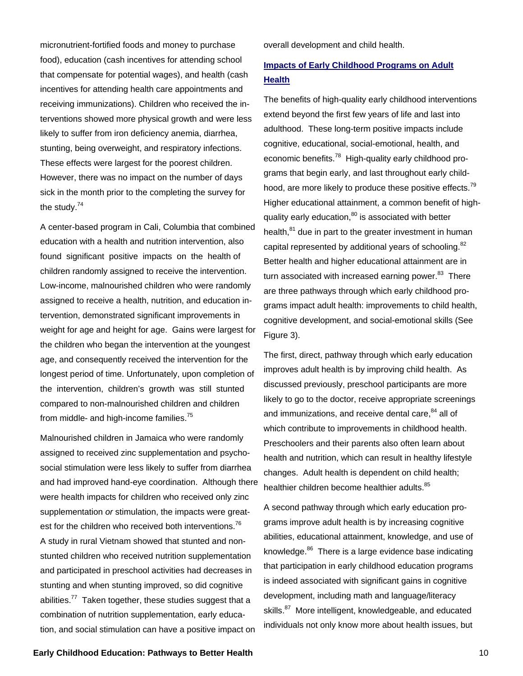micronutrient-fortified foods and money to purchase food), education (cash incentives for attending school that compensate for potential wages), and health (cash incentives for attending health care appointments and receiving immunizations). Children who received the interventions showed more physical growth and were less likely to suffer from iron deficiency anemia, diarrhea, stunting, being overweight, and respiratory infections. These effects were largest for the poorest children. However, there was no impact on the number of days sick in the month prior to the completing the survey for the study.<sup>74</sup>

A center-based program in Cali, Columbia that combined education with a health and nutrition intervention, also found significant positive impacts on the health of children randomly assigned to receive the intervention. Low-income, malnourished children who were randomly assigned to receive a health, nutrition, and education intervention, demonstrated significant improvements in weight for age and height for age. Gains were largest for the children who began the intervention at the youngest age, and consequently received the intervention for the longest period of time. Unfortunately, upon completion of the intervention, children's growth was still stunted compared to non-malnourished children and children from middle- and high-income families.<sup>75</sup>

Malnourished children in Jamaica who were randomly assigned to received zinc supplementation and psychosocial stimulation were less likely to suffer from diarrhea and had improved hand-eye coordination. Although there were health impacts for children who received only zinc supplementation *or* stimulation, the impacts were greatest for the children who received both interventions.<sup>76</sup> A study in rural Vietnam showed that stunted and nonstunted children who received nutrition supplementation and participated in preschool activities had decreases in stunting and when stunting improved, so did cognitive abilities.<sup>77</sup> Taken together, these studies suggest that a combination of nutrition supplementation, early education, and social stimulation can have a positive impact on

overall development and child health.

# **Impacts of Early Childhood Programs on Adult Health**

The benefits of high-quality early childhood interventions extend beyond the first few years of life and last into adulthood. These long-term positive impacts include cognitive, educational, social-emotional, health, and economic benefits.<sup>78</sup> High-quality early childhood programs that begin early, and last throughout early childhood, are more likely to produce these positive effects.<sup>79</sup> Higher educational attainment, a common benefit of highquality early education, $80$  is associated with better health.<sup>81</sup> due in part to the greater investment in human capital represented by additional years of schooling.<sup>82</sup> Better health and higher educational attainment are in turn associated with increased earning power. $83$  There are three pathways through which early childhood programs impact adult health: improvements to child health, cognitive development, and social-emotional skills (See Figure 3).

The first, direct, pathway through which early education improves adult health is by improving child health. As discussed previously, preschool participants are more likely to go to the doctor, receive appropriate screenings and immunizations, and receive dental care, <sup>84</sup> all of which contribute to improvements in childhood health. Preschoolers and their parents also often learn about health and nutrition, which can result in healthy lifestyle changes. Adult health is dependent on child health; healthier children become healthier adults.<sup>85</sup>

A second pathway through which early education programs improve adult health is by increasing cognitive abilities, educational attainment, knowledge, and use of knowledge.<sup>86</sup> There is a large evidence base indicating that participation in early childhood education programs is indeed associated with significant gains in cognitive development, including math and language/literacy skills.<sup>87</sup> More intelligent, knowledgeable, and educated individuals not only know more about health issues, but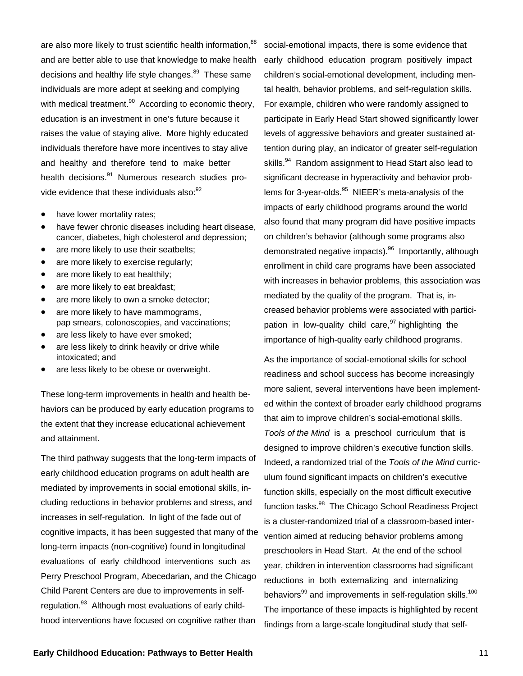are also more likely to trust scientific health information, <sup>88</sup> and are better able to use that knowledge to make health decisions and healthy life style changes.<sup>89</sup> These same individuals are more adept at seeking and complying with medical treatment.<sup>90</sup> According to economic theory, education is an investment in one's future because it raises the value of staying alive. More highly educated individuals therefore have more incentives to stay alive and healthy and therefore tend to make better health decisions.<sup>91</sup> Numerous research studies provide evidence that these individuals also: 92

- have lower mortality rates;
- have fewer chronic diseases including heart disease, cancer, diabetes, high cholesterol and depression;
- are more likely to use their seatbelts;
- are more likely to exercise regularly;
- are more likely to eat healthily;
- are more likely to eat breakfast;
- are more likely to own a smoke detector;
- are more likely to have mammograms, pap smears, colonoscopies, and vaccinations;
- are less likely to have ever smoked;
- are less likely to drink heavily or drive while intoxicated; and
- are less likely to be obese or overweight.

These long-term improvements in health and health behaviors can be produced by early education programs to the extent that they increase educational achievement and attainment.

The third pathway suggests that the long-term impacts of early childhood education programs on adult health are mediated by improvements in social emotional skills, including reductions in behavior problems and stress, and increases in self-regulation. In light of the fade out of cognitive impacts, it has been suggested that many of the long-term impacts (non-cognitive) found in longitudinal evaluations of early childhood interventions such as Perry Preschool Program, Abecedarian, and the Chicago Child Parent Centers are due to improvements in selfregulation.<sup>93</sup> Although most evaluations of early childhood interventions have focused on cognitive rather than

social-emotional impacts, there is some evidence that early childhood education program positively impact children's social-emotional development, including mental health, behavior problems, and self-regulation skills. For example, children who were randomly assigned to participate in Early Head Start showed significantly lower levels of aggressive behaviors and greater sustained attention during play, an indicator of greater self-regulation skills.<sup>94</sup> Random assignment to Head Start also lead to significant decrease in hyperactivity and behavior problems for 3-year-olds.<sup>95</sup> NIEER's meta-analysis of the impacts of early childhood programs around the world also found that many program did have positive impacts on children's behavior (although some programs also demonstrated negative impacts).<sup>96</sup> Importantly, although enrollment in child care programs have been associated with increases in behavior problems, this association was mediated by the quality of the program. That is, increased behavior problems were associated with participation in low-quality child care, $97$  highlighting the importance of high-quality early childhood programs.

As the importance of social-emotional skills for school readiness and school success has become increasingly more salient, several interventions have been implemented within the context of broader early childhood programs that aim to improve children's social-emotional skills. *Tools of the Mind* is a preschool curriculum that is designed to improve children's executive function skills. Indeed, a randomized trial of the *Tools of the Mind* curriculum found significant impacts on children's executive function skills, especially on the most difficult executive function tasks.<sup>98</sup> The Chicago School Readiness Project is a cluster-randomized trial of a classroom-based intervention aimed at reducing behavior problems among preschoolers in Head Start. At the end of the school year, children in intervention classrooms had significant reductions in both externalizing and internalizing behaviors<sup>99</sup> and improvements in self-regulation skills.<sup>100</sup> The importance of these impacts is highlighted by recent findings from a large-scale longitudinal study that self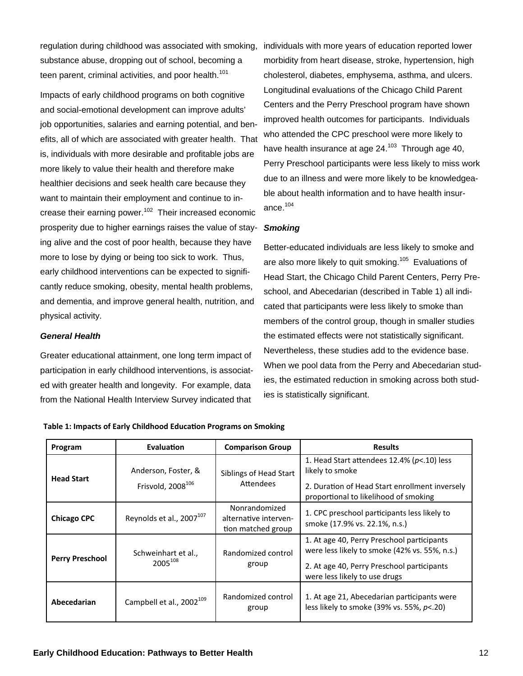regulation during childhood was associated with smoking, substance abuse, dropping out of school, becoming a teen parent, criminal activities, and poor health.<sup>101</sup>

Impacts of early childhood programs on both cognitive and social-emotional development can improve adults' job opportunities, salaries and earning potential, and benefits, all of which are associated with greater health. That is, individuals with more desirable and profitable jobs are more likely to value their health and therefore make healthier decisions and seek health care because they want to maintain their employment and continue to increase their earning power.<sup>102</sup> Their increased economic prosperity due to higher earnings raises the value of staying alive and the cost of poor health, because they have more to lose by dying or being too sick to work. Thus, early childhood interventions can be expected to significantly reduce smoking, obesity, mental health problems, and dementia, and improve general health, nutrition, and physical activity.

## *General Health*

Greater educational attainment, one long term impact of participation in early childhood interventions, is associated with greater health and longevity. For example, data from the National Health Interview Survey indicated that

individuals with more years of education reported lower morbidity from heart disease, stroke, hypertension, high cholesterol, diabetes, emphysema, asthma, and ulcers. Longitudinal evaluations of the Chicago Child Parent Centers and the Perry Preschool program have shown improved health outcomes for participants. Individuals who attended the CPC preschool were more likely to have health insurance at age  $24.^{103}$  Through age 40, Perry Preschool participants were less likely to miss work due to an illness and were more likely to be knowledgeable about health information and to have health insurance.104

## *Smoking*

Better-educated individuals are less likely to smoke and are also more likely to quit smoking.<sup>105</sup> Evaluations of Head Start, the Chicago Child Parent Centers, Perry Preschool, and Abecedarian (described in Table 1) all indicated that participants were less likely to smoke than members of the control group, though in smaller studies the estimated effects were not statistically significant. Nevertheless, these studies add to the evidence base. When we pool data from the Perry and Abecedarian studies, the estimated reduction in smoking across both studies is statistically significant.

| Program                | Evaluation                                           | <b>Comparison Group</b>                                      | <b>Results</b>                                                                              |
|------------------------|------------------------------------------------------|--------------------------------------------------------------|---------------------------------------------------------------------------------------------|
| <b>Head Start</b>      | Anderson, Foster, &<br>Frisvold, 2008 <sup>106</sup> | Siblings of Head Start<br>Attendees                          | 1. Head Start attendees $12.4\%$ ( $p< 10$ ) less<br>likely to smoke                        |
|                        |                                                      |                                                              | 2. Duration of Head Start enrollment inversely<br>proportional to likelihood of smoking     |
| <b>Chicago CPC</b>     | Reynolds et al., 2007 <sup>107</sup>                 | Nonrandomized<br>alternative interven-<br>tion matched group | 1. CPC preschool participants less likely to<br>smoke (17.9% vs. 22.1%, n.s.)               |
| <b>Perry Preschool</b> | Schweinhart et al.,<br>2005 <sup>108</sup>           | Randomized control<br>group                                  | 1. At age 40, Perry Preschool participants<br>were less likely to smoke (42% vs. 55%, n.s.) |
|                        |                                                      |                                                              | 2. At age 40, Perry Preschool participants<br>were less likely to use drugs                 |
| Abecedarian            | Campbell et al., 2002 <sup>109</sup>                 | Randomized control<br>group                                  | 1. At age 21, Abecedarian participants were<br>less likely to smoke (39% vs. 55%, $p$ <.20) |

**Table 1: Impacts of Early Childhood EducaƟon Programs on Smoking**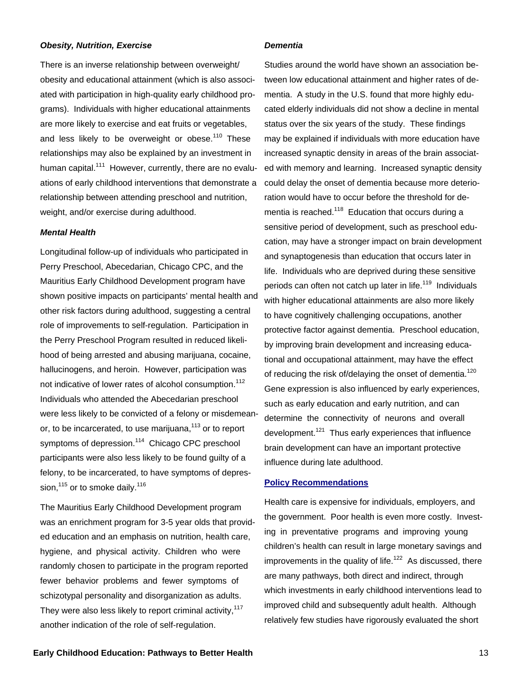#### *Obesity, Nutrition, Exercise*

There is an inverse relationship between overweight/ obesity and educational attainment (which is also associated with participation in high-quality early childhood programs). Individuals with higher educational attainments are more likely to exercise and eat fruits or vegetables, and less likely to be overweight or obese.<sup>110</sup> These relationships may also be explained by an investment in human capital.<sup>111</sup> However, currently, there are no evaluations of early childhood interventions that demonstrate a relationship between attending preschool and nutrition, weight, and/or exercise during adulthood.

#### *Mental Health*

Longitudinal follow-up of individuals who participated in Perry Preschool, Abecedarian, Chicago CPC, and the Mauritius Early Childhood Development program have shown positive impacts on participants' mental health and other risk factors during adulthood, suggesting a central role of improvements to self-regulation. Participation in the Perry Preschool Program resulted in reduced likelihood of being arrested and abusing marijuana, cocaine, hallucinogens, and heroin. However, participation was not indicative of lower rates of alcohol consumption.<sup>112</sup> Individuals who attended the Abecedarian preschool were less likely to be convicted of a felony or misdemeanor, to be incarcerated, to use marijuana,<sup>113</sup> or to report symptoms of depression.<sup>114</sup> Chicago CPC preschool participants were also less likely to be found guilty of a felony, to be incarcerated, to have symptoms of depression, $115$  or to smoke daily.  $116$ 

The Mauritius Early Childhood Development program was an enrichment program for 3-5 year olds that provided education and an emphasis on nutrition, health care, hygiene, and physical activity. Children who were randomly chosen to participate in the program reported fewer behavior problems and fewer symptoms of schizotypal personality and disorganization as adults. They were also less likely to report criminal activity.<sup>117</sup> another indication of the role of self-regulation.

#### *Dementia*

Studies around the world have shown an association between low educational attainment and higher rates of dementia. A study in the U.S. found that more highly educated elderly individuals did not show a decline in mental status over the six years of the study. These findings may be explained if individuals with more education have increased synaptic density in areas of the brain associated with memory and learning. Increased synaptic density could delay the onset of dementia because more deterioration would have to occur before the threshold for dementia is reached.<sup>118</sup> Education that occurs during a sensitive period of development, such as preschool education, may have a stronger impact on brain development and synaptogenesis than education that occurs later in life. Individuals who are deprived during these sensitive periods can often not catch up later in life.<sup>119</sup> Individuals with higher educational attainments are also more likely to have cognitively challenging occupations, another protective factor against dementia. Preschool education, by improving brain development and increasing educational and occupational attainment, may have the effect of reducing the risk of/delaying the onset of dementia.<sup>120</sup> Gene expression is also influenced by early experiences, such as early education and early nutrition, and can determine the connectivity of neurons and overall development.<sup>121</sup> Thus early experiences that influence brain development can have an important protective influence during late adulthood.

#### **Policy Recommendations**

Health care is expensive for individuals, employers, and the government. Poor health is even more costly. Investing in preventative programs and improving young children's health can result in large monetary savings and improvements in the quality of life.<sup>122</sup> As discussed, there are many pathways, both direct and indirect, through which investments in early childhood interventions lead to improved child and subsequently adult health. Although relatively few studies have rigorously evaluated the short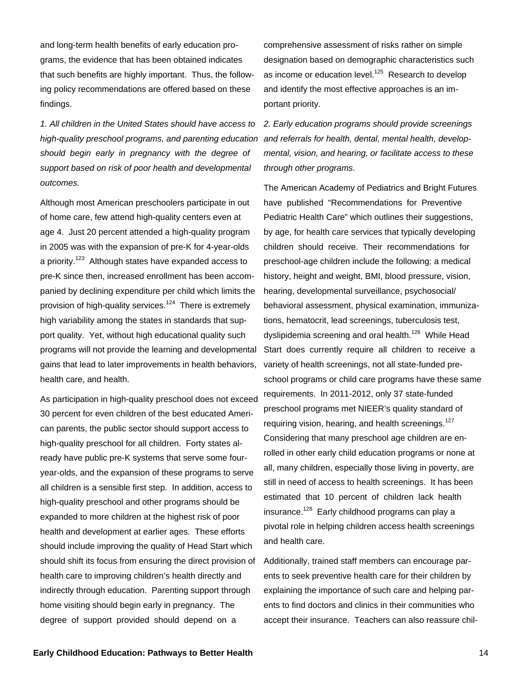and long-term health benefits of early education programs, the evidence that has been obtained indicates that such benefits are highly important. Thus, the following policy recommendations are offered based on these findings.

*1. All children in the United States should have access to*  high-quality preschool programs, and parenting education and referrals for health, dental, mental health, develop*should begin early in pregnancy with the degree of support based on risk of poor health and developmental outcomes.* 

Although most American preschoolers participate in out of home care, few attend high-quality centers even at age 4. Just 20 percent attended a high-quality program in 2005 was with the expansion of pre-K for 4-year-olds a priority.<sup>123</sup> Although states have expanded access to pre-K since then, increased enrollment has been accompanied by declining expenditure per child which limits the provision of high-quality services.<sup>124</sup> There is extremely high variability among the states in standards that support quality. Yet, without high educational quality such programs will not provide the learning and developmental gains that lead to later improvements in health behaviors, health care, and health.

As participation in high-quality preschool does not exceed 30 percent for even children of the best educated American parents, the public sector should support access to high-quality preschool for all children. Forty states already have public pre-K systems that serve some fouryear-olds, and the expansion of these programs to serve all children is a sensible first step. In addition, access to high-quality preschool and other programs should be expanded to more children at the highest risk of poor health and development at earlier ages. These efforts should include improving the quality of Head Start which should shift its focus from ensuring the direct provision of health care to improving children's health directly and indirectly through education. Parenting support through home visiting should begin early in pregnancy. The degree of support provided should depend on a

comprehensive assessment of risks rather on simple designation based on demographic characteristics such as income or education level.<sup>125</sup> Research to develop and identify the most effective approaches is an important priority.

*2. Early education programs should provide screenings mental, vision, and hearing, or facilitate access to these through other programs.*

The American Academy of Pediatrics and Bright Futures have published "Recommendations for Preventive Pediatric Health Care" which outlines their suggestions, by age, for health care services that typically developing children should receive. Their recommendations for preschool-age children include the following: a medical history, height and weight, BMI, blood pressure, vision, hearing, developmental surveillance, psychosocial/ behavioral assessment, physical examination, immunizations, hematocrit, lead screenings, tuberculosis test, dyslipidemia screening and oral health.<sup>126</sup> While Head Start does currently require all children to receive a variety of health screenings, not all state-funded preschool programs or child care programs have these same requirements. In 2011-2012, only 37 state-funded preschool programs met NIEER's quality standard of requiring vision, hearing, and health screenings.<sup>127</sup> Considering that many preschool age children are enrolled in other early child education programs or none at all, many children, especially those living in poverty, are still in need of access to health screenings. It has been estimated that 10 percent of children lack health insurance.<sup>128</sup> Early childhood programs can play a pivotal role in helping children access health screenings and health care.

Additionally, trained staff members can encourage parents to seek preventive health care for their children by explaining the importance of such care and helping parents to find doctors and clinics in their communities who accept their insurance. Teachers can also reassure chil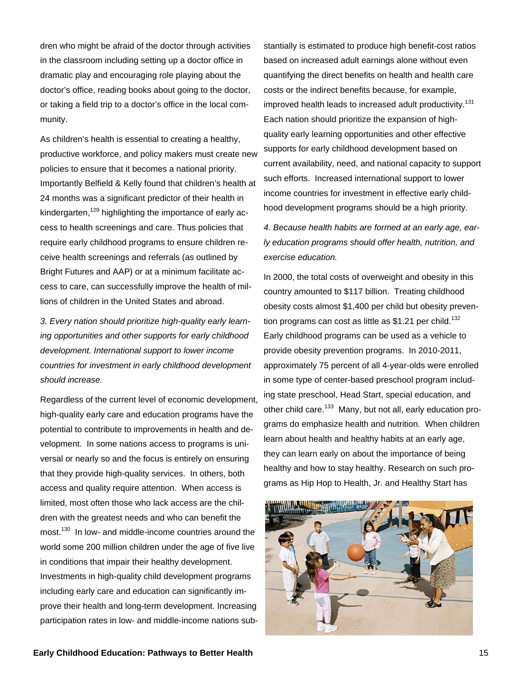dren who might be afraid of the doctor through activities in the classroom including setting up a doctor office in dramatic play and encouraging role playing about the doctor's office, reading books about going to the doctor, or taking a field trip to a doctor's office in the local community.

As children's health is essential to creating a healthy, productive workforce, and policy makers must create new policies to ensure that it becomes a national priority. Importantly Belfield & Kelly found that children's health at 24 months was a significant predictor of their health in kindergarten, $129$  highlighting the importance of early access to health screenings and care. Thus policies that require early childhood programs to ensure children receive health screenings and referrals (as outlined by Bright Futures and AAP) or at a minimum facilitate access to care, can successfully improve the health of millions of children in the United States and abroad.

*3. Every nation should prioritize high-quality early learning opportunities and other supports for early childhood development. International support to lower income countries for investment in early childhood development should increase.*

Regardless of the current level of economic development, high-quality early care and education programs have the potential to contribute to improvements in health and development. In some nations access to programs is universal or nearly so and the focus is entirely on ensuring that they provide high-quality services. In others, both access and quality require attention. When access is limited, most often those who lack access are the children with the greatest needs and who can benefit the most.<sup>130</sup> In low- and middle-income countries around the world some 200 million children under the age of five live in conditions that impair their healthy development. Investments in high-quality child development programs including early care and education can significantly improve their health and long-term development. Increasing participation rates in low- and middle-income nations sub-

stantially is estimated to produce high benefit-cost ratios based on increased adult earnings alone without even quantifying the direct benefits on health and health care costs or the indirect benefits because, for example, improved health leads to increased adult productivity.<sup>131</sup> Each nation should prioritize the expansion of highquality early learning opportunities and other effective supports for early childhood development based on current availability, need, and national capacity to support such efforts. Increased international support to lower income countries for investment in effective early childhood development programs should be a high priority.

*4. Because health habits are formed at an early age, early education programs should offer health, nutrition, and exercise education.*

In 2000, the total costs of overweight and obesity in this country amounted to \$117 billion. Treating childhood obesity costs almost \$1,400 per child but obesity prevention programs can cost as little as  $$1.21$  per child.<sup>132</sup> Early childhood programs can be used as a vehicle to provide obesity prevention programs. In 2010-2011, approximately 75 percent of all 4-year-olds were enrolled in some type of center-based preschool program including state preschool, Head Start, special education, and other child care.<sup>133</sup> Many, but not all, early education programs do emphasize health and nutrition. When children learn about health and healthy habits at an early age, they can learn early on about the importance of being healthy and how to stay healthy. Research on such programs as Hip Hop to Health, Jr. and Healthy Start has

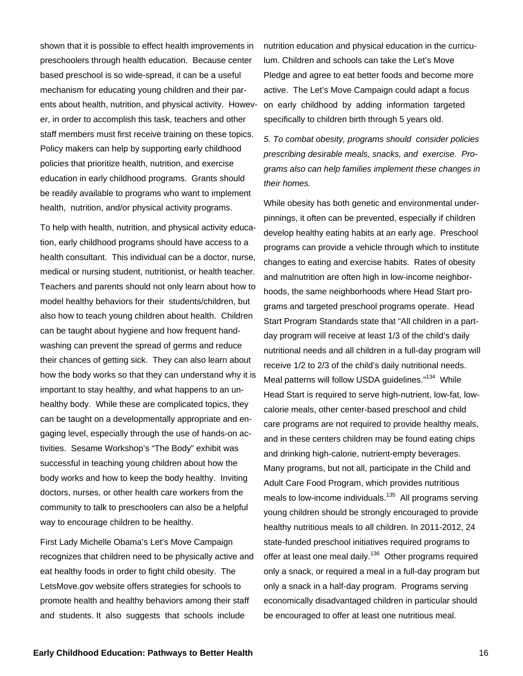shown that it is possible to effect health improvements in preschoolers through health education. Because center based preschool is so wide-spread, it can be a useful mechanism for educating young children and their parents about health, nutrition, and physical activity. However, in order to accomplish this task, teachers and other staff members must first receive training on these topics. Policy makers can help by supporting early childhood policies that prioritize health, nutrition, and exercise education in early childhood programs. Grants should be readily available to programs who want to implement health, nutrition, and/or physical activity programs.

To help with health, nutrition, and physical activity education, early childhood programs should have access to a health consultant. This individual can be a doctor, nurse, medical or nursing student, nutritionist, or health teacher. Teachers and parents should not only learn about how to model healthy behaviors for their students/children, but also how to teach young children about health. Children can be taught about hygiene and how frequent handwashing can prevent the spread of germs and reduce their chances of getting sick. They can also learn about how the body works so that they can understand why it is important to stay healthy, and what happens to an unhealthy body. While these are complicated topics, they can be taught on a developmentally appropriate and engaging level, especially through the use of hands-on activities. Sesame Workshop's "The Body" exhibit was successful in teaching young children about how the body works and how to keep the body healthy. Inviting doctors, nurses, or other health care workers from the community to talk to preschoolers can also be a helpful way to encourage children to be healthy.

First Lady Michelle Obama's Let's Move Campaign recognizes that children need to be physically active and eat healthy foods in order to fight child obesity. The LetsMove.gov website offers strategies for schools to promote health and healthy behaviors among their staff and students. It also suggests that schools include

nutrition education and physical education in the curriculum. Children and schools can take the Let's Move Pledge and agree to eat better foods and become more active. The Let's Move Campaign could adapt a focus on early childhood by adding information targeted specifically to children birth through 5 years old.

*5. To combat obesity, programs should consider policies prescribing desirable meals, snacks, and exercise. Programs also can help families implement these changes in their homes.*

While obesity has both genetic and environmental underpinnings, it often can be prevented, especially if children develop healthy eating habits at an early age. Preschool programs can provide a vehicle through which to institute changes to eating and exercise habits. Rates of obesity and malnutrition are often high in low-income neighborhoods, the same neighborhoods where Head Start programs and targeted preschool programs operate. Head Start Program Standards state that "All children in a partday program will receive at least 1/3 of the child's daily nutritional needs and all children in a full-day program will receive 1/2 to 2/3 of the child's daily nutritional needs. Meal patterns will follow USDA guidelines."<sup>134</sup> While Head Start is required to serve high-nutrient, low-fat, lowcalorie meals, other center-based preschool and child care programs are not required to provide healthy meals, and in these centers children may be found eating chips and drinking high-calorie, nutrient-empty beverages. Many programs, but not all, participate in the Child and Adult Care Food Program, which provides nutritious meals to low-income individuals.<sup>135</sup> All programs serving young children should be strongly encouraged to provide healthy nutritious meals to all children. In 2011-2012, 24 state-funded preschool initiatives required programs to offer at least one meal daily.<sup>136</sup> Other programs required only a snack, or required a meal in a full-day program but only a snack in a half-day program. Programs serving economically disadvantaged children in particular should be encouraged to offer at least one nutritious meal.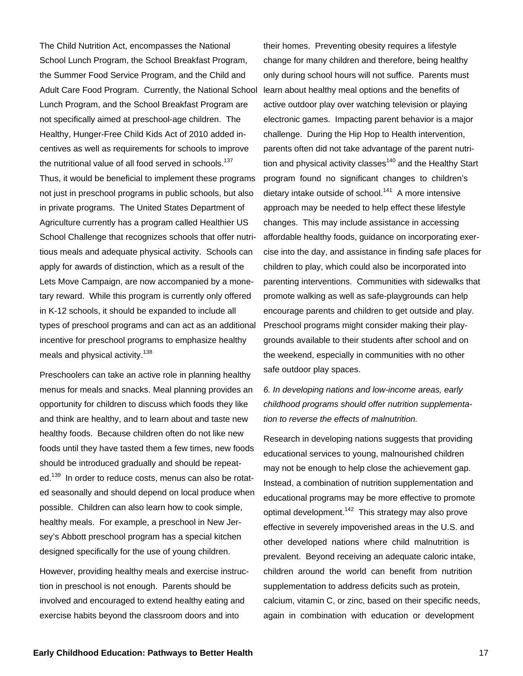The Child Nutrition Act, encompasses the National School Lunch Program, the School Breakfast Program, the Summer Food Service Program, and the Child and Adult Care Food Program. Currently, the National School Lunch Program, and the School Breakfast Program are not specifically aimed at preschool-age children. The Healthy, Hunger-Free Child Kids Act of 2010 added incentives as well as requirements for schools to improve the nutritional value of all food served in schools.<sup>137</sup> Thus, it would be beneficial to implement these programs not just in preschool programs in public schools, but also in private programs. The United States Department of Agriculture currently has a program called Healthier US School Challenge that recognizes schools that offer nutritious meals and adequate physical activity. Schools can apply for awards of distinction, which as a result of the Lets Move Campaign, are now accompanied by a monetary reward. While this program is currently only offered in K-12 schools, it should be expanded to include all types of preschool programs and can act as an additional incentive for preschool programs to emphasize healthy meals and physical activity.<sup>138</sup>

Preschoolers can take an active role in planning healthy menus for meals and snacks. Meal planning provides an opportunity for children to discuss which foods they like and think are healthy, and to learn about and taste new healthy foods. Because children often do not like new foods until they have tasted them a few times, new foods should be introduced gradually and should be repeated.<sup>139</sup> In order to reduce costs, menus can also be rotated seasonally and should depend on local produce when possible. Children can also learn how to cook simple, healthy meals. For example, a preschool in New Jersey's Abbott preschool program has a special kitchen designed specifically for the use of young children.

However, providing healthy meals and exercise instruction in preschool is not enough. Parents should be involved and encouraged to extend healthy eating and exercise habits beyond the classroom doors and into

their homes. Preventing obesity requires a lifestyle change for many children and therefore, being healthy only during school hours will not suffice. Parents must learn about healthy meal options and the benefits of active outdoor play over watching television or playing electronic games. Impacting parent behavior is a major challenge. During the Hip Hop to Health intervention, parents often did not take advantage of the parent nutrition and physical activity classes $140$  and the Healthy Start program found no significant changes to children's dietary intake outside of school.<sup>141</sup> A more intensive approach may be needed to help effect these lifestyle changes. This may include assistance in accessing affordable healthy foods, guidance on incorporating exercise into the day, and assistance in finding safe places for children to play, which could also be incorporated into parenting interventions. Communities with sidewalks that promote walking as well as safe-playgrounds can help encourage parents and children to get outside and play. Preschool programs might consider making their playgrounds available to their students after school and on the weekend, especially in communities with no other safe outdoor play spaces.

*6. In developing nations and low-income areas, early childhood programs should offer nutrition supplementation to reverse the effects of malnutrition.*

Research in developing nations suggests that providing educational services to young, malnourished children may not be enough to help close the achievement gap. Instead, a combination of nutrition supplementation and educational programs may be more effective to promote optimal development.<sup>142</sup> This strategy may also prove effective in severely impoverished areas in the U.S. and other developed nations where child malnutrition is prevalent. Beyond receiving an adequate caloric intake, children around the world can benefit from nutrition supplementation to address deficits such as protein, calcium, vitamin C, or zinc, based on their specific needs, again in combination with education or development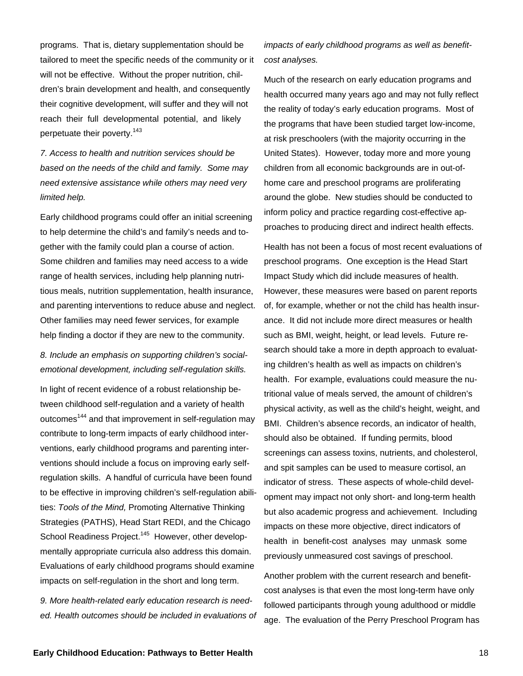programs. That is, dietary supplementation should be tailored to meet the specific needs of the community or it will not be effective. Without the proper nutrition, children's brain development and health, and consequently their cognitive development, will suffer and they will not reach their full developmental potential, and likely perpetuate their poverty.<sup>143</sup>

*7. Access to health and nutrition services should be based on the needs of the child and family. Some may need extensive assistance while others may need very limited help.* 

Early childhood programs could offer an initial screening to help determine the child's and family's needs and together with the family could plan a course of action. Some children and families may need access to a wide range of health services, including help planning nutritious meals, nutrition supplementation, health insurance, and parenting interventions to reduce abuse and neglect. Other families may need fewer services, for example help finding a doctor if they are new to the community.

*8. Include an emphasis on supporting children's socialemotional development, including self-regulation skills.*

In light of recent evidence of a robust relationship between childhood self-regulation and a variety of health outcomes<sup>144</sup> and that improvement in self-regulation may contribute to long-term impacts of early childhood interventions, early childhood programs and parenting interventions should include a focus on improving early selfregulation skills. A handful of curricula have been found to be effective in improving children's self-regulation abilities: *Tools of the Mind,* Promoting Alternative Thinking Strategies (PATHS), Head Start REDI, and the Chicago School Readiness Project.<sup>145</sup> However, other developmentally appropriate curricula also address this domain. Evaluations of early childhood programs should examine impacts on self-regulation in the short and long term.

*9. More health-related early education research is needed. Health outcomes should be included in evaluations of* 

*impacts of early childhood programs as well as benefitcost analyses.* 

Much of the research on early education programs and health occurred many years ago and may not fully reflect the reality of today's early education programs. Most of the programs that have been studied target low-income, at risk preschoolers (with the majority occurring in the United States). However, today more and more young children from all economic backgrounds are in out-ofhome care and preschool programs are proliferating around the globe. New studies should be conducted to inform policy and practice regarding cost-effective approaches to producing direct and indirect health effects.

Health has not been a focus of most recent evaluations of preschool programs. One exception is the Head Start Impact Study which did include measures of health. However, these measures were based on parent reports of, for example, whether or not the child has health insurance. It did not include more direct measures or health such as BMI, weight, height, or lead levels. Future research should take a more in depth approach to evaluating children's health as well as impacts on children's health. For example, evaluations could measure the nutritional value of meals served, the amount of children's physical activity, as well as the child's height, weight, and BMI. Children's absence records, an indicator of health, should also be obtained. If funding permits, blood screenings can assess toxins, nutrients, and cholesterol, and spit samples can be used to measure cortisol, an indicator of stress. These aspects of whole-child development may impact not only short- and long-term health but also academic progress and achievement. Including impacts on these more objective, direct indicators of health in benefit-cost analyses may unmask some previously unmeasured cost savings of preschool.

Another problem with the current research and benefitcost analyses is that even the most long-term have only followed participants through young adulthood or middle age. The evaluation of the Perry Preschool Program has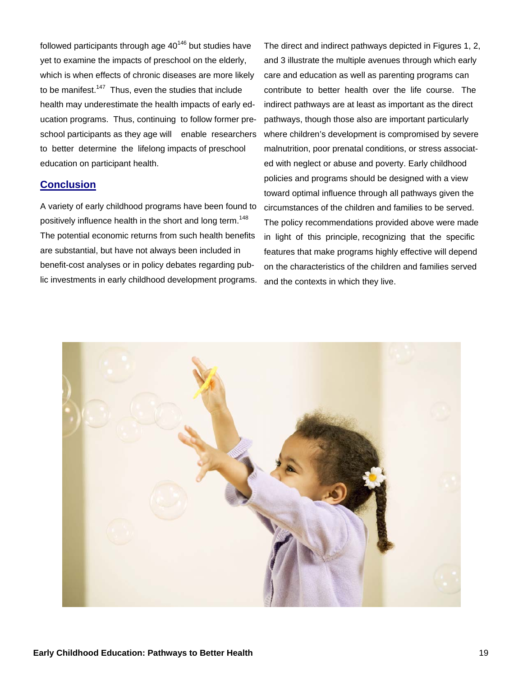followed participants through age  $40^{146}$  but studies have yet to examine the impacts of preschool on the elderly, which is when effects of chronic diseases are more likely to be manifest.<sup>147</sup> Thus, even the studies that include health may underestimate the health impacts of early education programs. Thus, continuing to follow former preschool participants as they age will enable researchers to better determine the lifelong impacts of preschool education on participant health.

## **Conclusion**

A variety of early childhood programs have been found to positively influence health in the short and long term.<sup>148</sup> The potential economic returns from such health benefits are substantial, but have not always been included in benefit-cost analyses or in policy debates regarding public investments in early childhood development programs.

The direct and indirect pathways depicted in Figures 1, 2, and 3 illustrate the multiple avenues through which early care and education as well as parenting programs can contribute to better health over the life course. The indirect pathways are at least as important as the direct pathways, though those also are important particularly where children's development is compromised by severe malnutrition, poor prenatal conditions, or stress associated with neglect or abuse and poverty. Early childhood policies and programs should be designed with a view toward optimal influence through all pathways given the circumstances of the children and families to be served. The policy recommendations provided above were made in light of this principle, recognizing that the specific features that make programs highly effective will depend on the characteristics of the children and families served and the contexts in which they live.

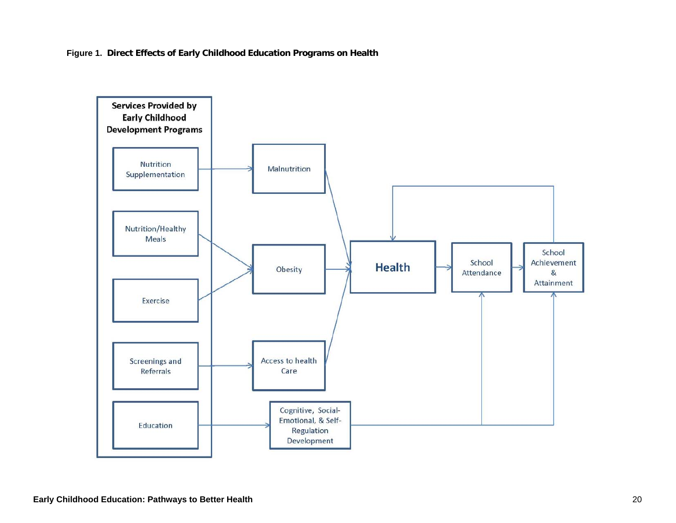**Figure 1. Direct Effects of Early Childhood Education Programs on Health**

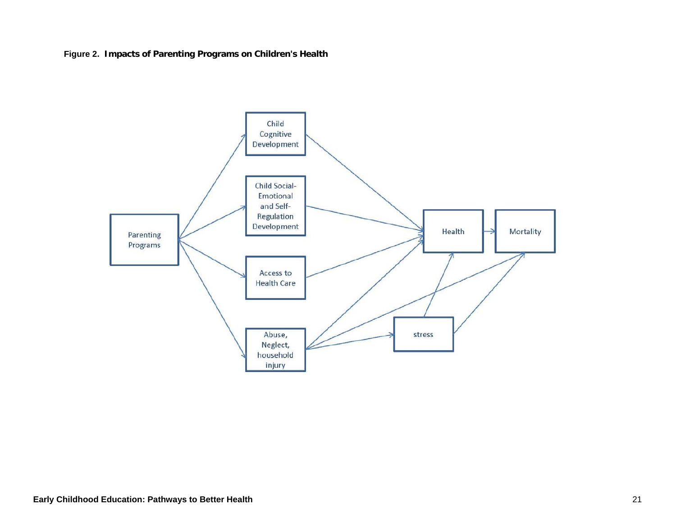**Figure 2. Impacts of Parenting Programs on Children's Health**

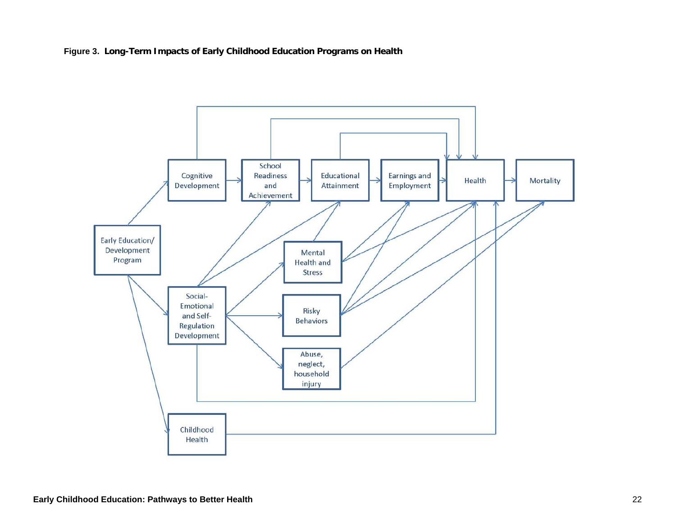**Figure 3. Long-Term Impacts of Early Childhood Education Programs on Health**

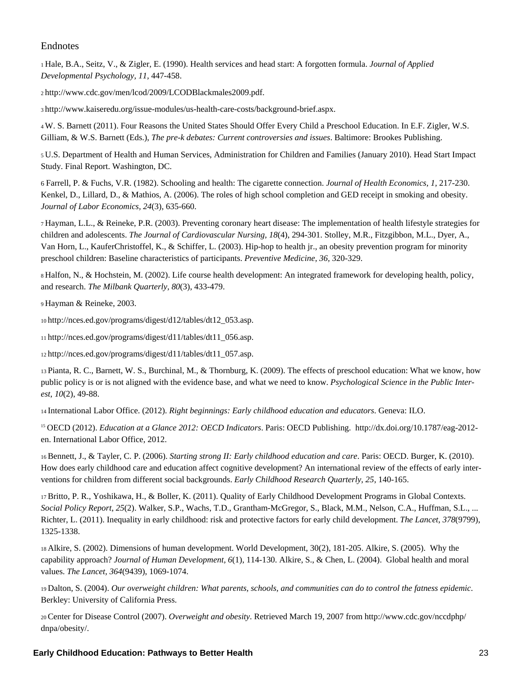## Endnotes

1 Hale, B.A., Seitz, V., & Zigler, E. (1990). Health services and head start: A forgotten formula. *Journal of Applied Developmental Psychology, 11,* 447-458.

2 http://www.cdc.gov/men/lcod/2009/LCODBlackmales2009.pdf.

3 http://www.kaiseredu.org/issue-modules/us-health-care-costs/background-brief.aspx.

4 W. S. Barnett (2011). Four Reasons the United States Should Offer Every Child a Preschool Education. In E.F. Zigler, W.S. Gilliam, & W.S. Barnett (Eds.), *The pre-k debates: Current controversies and issues*. Baltimore: Brookes Publishing.

5 U.S. Department of Health and Human Services, Administration for Children and Families (January 2010). Head Start Impact Study. Final Report. Washington, DC.

6 Farrell, P. & Fuchs, V.R. (1982). Schooling and health: The cigarette connection. *Journal of Health Economics, 1,* 217-230. Kenkel, D., Lillard, D., & Mathios, A. (2006). The roles of high school completion and GED receipt in smoking and obesity. *Journal of Labor Economics, 24*(3), 635-660.

7 Hayman, L.L., & Reineke, P.R. (2003). Preventing coronary heart disease: The implementation of health lifestyle strategies for children and adolescents. *The Journal of Cardiovascular Nursing, 18*(4), 294-301. Stolley, M.R., Fitzgibbon, M.L., Dyer, A., Van Horn, L., KauferChristoffel, K., & Schiffer, L. (2003). Hip-hop to health jr., an obesity prevention program for minority preschool children: Baseline characteristics of participants. *Preventive Medicine, 36,* 320-329.

8 Halfon, N., & Hochstein, M. (2002). Life course health development: An integrated framework for developing health, policy, and research. *The Milbank Quarterly, 80*(3), 433-479.

9 Hayman & Reineke, 2003.

10 http://nces.ed.gov/programs/digest/d12/tables/dt12\_053.asp.

11 http://nces.ed.gov/programs/digest/d11/tables/dt11\_056.asp.

12 http://nces.ed.gov/programs/digest/d11/tables/dt11\_057.asp.

13 Pianta, R. C., Barnett, W. S., Burchinal, M., & Thornburg, K. (2009). The effects of preschool education: What we know, how public policy is or is not aligned with the evidence base, and what we need to know. *Psychological Science in the Public Interest*, *10*(2), 49-88.

14 International Labor Office. (2012). *Right beginnings: Early childhood education and educators*. Geneva: ILO.

<sup>15</sup> OECD (2012). *Education at a Glance 2012: OECD Indicators*. Paris: OECD Publishing. http://dx.doi.org/10.1787/eag-2012 en. International Labor Office, 2012.

16 Bennett, J., & Tayler, C. P. (2006). *Starting strong II: Early childhood education and care*. Paris: OECD. Burger, K. (2010). How does early childhood care and education affect cognitive development? An international review of the effects of early interventions for children from different social backgrounds. *Early Childhood Research Quarterly, 25*, 140-165.

17 Britto, P. R., Yoshikawa, H., & Boller, K. (2011). Quality of Early Childhood Development Programs in Global Contexts. *Social Policy Report*, *25*(2). Walker, S.P., Wachs, T.D., Grantham-McGregor, S., Black, M.M., Nelson, C.A., Huffman, S.L., ... Richter, L. (2011). Inequality in early childhood: risk and protective factors for early child development. *The Lancet*, *378*(9799), 1325-1338.

18 Alkire, S. (2002). Dimensions of human development. World Development, 30(2), 181-205. Alkire, S. (2005). Why the capability approach? *Journal of Human Development, 6*(1), 114-130. Alkire, S., & Chen, L. (2004). Global health and moral values. *The Lancet, 364*(9439), 1069-1074.

19 Dalton, S. (2004). *Our overweight children: What parents, schools, and communities can do to control the fatness epidemic*. Berkley: University of California Press.

20 Center for Disease Control (2007). *Overweight and obesity*. Retrieved March 19, 2007 from http://www.cdc.gov/nccdphp/ dnpa/obesity/.

## **Early Childhood Education: Pathways to Better Health** 23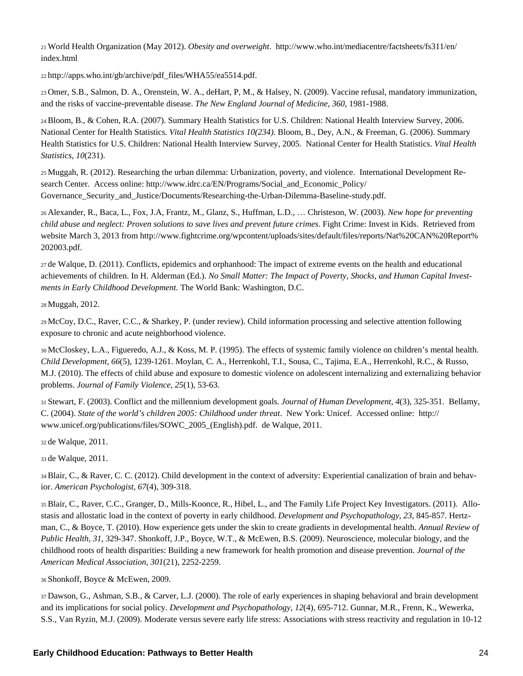21 World Health Organization (May 2012). *Obesity and overweight*. http://www.who.int/mediacentre/factsheets/fs311/en/ index.html

22 http://apps.who.int/gb/archive/pdf\_files/WHA55/ea5514.pdf.

23 Omer, S.B., Salmon, D. A., Orenstein, W. A., deHart, P, M., & Halsey, N. (2009). Vaccine refusal, mandatory immunization, and the risks of vaccine-preventable disease. *The New England Journal of Medicine, 360*, 1981-1988.

24 Bloom, B., & Cohen, R.A. (2007). Summary Health Statistics for U.S. Children: National Health Interview Survey, 2006. National Center for Health Statistics. *Vital Health Statistics 10(234)*. Bloom, B., Dey, A.N., & Freeman, G. (2006). Summary Health Statistics for U.S. Children: National Health Interview Survey, 2005. National Center for Health Statistics. *Vital Health Statistics, 10*(231).

25 Muggah, R. (2012). Researching the urban dilemma: Urbanization, poverty, and violence. International Development Research Center. Access online: http://www.idrc.ca/EN/Programs/Social\_and\_Economic\_Policy/ Governance\_Security\_and\_Justice/Documents/Researching-the-Urban-Dilemma-Baseline-study.pdf.

26 Alexander, R., Baca, L., Fox, J.A, Frantz, M., Glanz, S., Huffman, L.D., … Christeson, W. (2003). *New hope for preventing child abuse and neglect: Proven solutions to save lives and prevent future crimes*. Fight Crime: Invest in Kids. Retrieved from website March 3, 2013 from http://www.fightcrime.org/wpcontent/uploads/sites/default/files/reports/Nat%20CAN%20Report% 202003.pdf.

27 de Walque, D. (2011). Conflicts, epidemics and orphanhood: The impact of extreme events on the health and educational achievements of children. In H. Alderman (Ed.). *No Small Matter: The Impact of Poverty, Shocks, and Human Capital Investments in Early Childhood Development.* The World Bank: Washington, D.C.

28 Muggah, 2012.

29 McCoy, D.C., Raver, C.C., & Sharkey, P. (under review). Child information processing and selective attention following exposure to chronic and acute neighborhood violence.

30 McCloskey, L.A., Figueredo, A.J., & Koss, M. P. (1995). The effects of systemic family violence on children's mental health. *Child Development, 66*(5), 1239-1261. Moylan, C. A., Herrenkohl, T.I., Sousa, C., Tajima, E.A., Herrenkohl, R.C., & Russo, M.J. (2010). The effects of child abuse and exposure to domestic violence on adolescent internalizing and externalizing behavior problems. *Journal of Family Violence, 25*(1), 53-63.

31 Stewart, F. (2003). Conflict and the millennium development goals. *Journal of Human Development, 4*(3), 325-351. Bellamy, C. (2004). *State of the world's children 2005: Childhood under threat*. New York: Unicef. Accessed online: http:// www.unicef.org/publications/files/SOWC\_2005\_(English).pdf. de Walque, 2011.

32 de Walque, 2011.

33 de Walque, 2011.

34 Blair, C., & Raver, C. C. (2012). Child development in the context of adversity: Experiential canalization of brain and behavior. *American Psychologist, 67*(4), 309-318.

35 Blair, C., Raver, C.C., Granger, D., Mills-Koonce, R., Hibel, L., and The Family Life Project Key Investigators. (2011). Allostasis and allostatic load in the context of poverty in early childhood. *Development and Psychopathology, 23*, 845-857. Hertzman, C., & Boyce, T. (2010). How experience gets under the skin to create gradients in developmental health. *Annual Review of Public Health, 31*, 329-347. Shonkoff, J.P., Boyce, W.T., & McEwen, B.S. (2009). Neuroscience, molecular biology, and the childhood roots of health disparities: Building a new framework for health promotion and disease prevention. *Journal of the American Medical Association, 301*(21), 2252-2259.

36 Shonkoff, Boyce & McEwen, 2009.

37 Dawson, G., Ashman, S.B., & Carver, L.J. (2000). The role of early experiences in shaping behavioral and brain development and its implications for social policy. *Development and Psychopathology, 12*(4), 695-712. Gunnar, M.R., Frenn, K., Wewerka, S.S., Van Ryzin, M.J. (2009). Moderate versus severe early life stress: Associations with stress reactivity and regulation in 10-12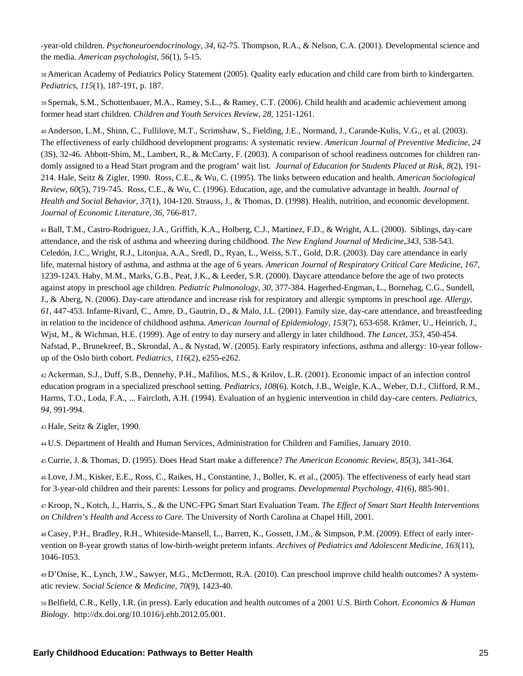-year-old children. *Psychoneuroendocrinology, 34*, 62-75. Thompson, R.A., & Nelson, C.A. (2001). Developmental science and the media. *American psychologist, 56*(1), 5-15.

38 American Academy of Pediatrics Policy Statement (2005). Quality early education and child care from birth to kindergarten. *Pediatrics, 115*(1), 187-191, p. 187.

39 Spernak, S.M., Schottenbauer, M.A., Ramey, S.L., & Ramey, C.T. (2006). Child health and academic achievement among former head start children. *Children and Youth Services Review, 28,* 1251-1261.

40 Anderson, L.M., Shinn, C., Fullilove, M.T., Scrimshaw, S., Fielding, J.E., Normand, J., Carande-Kulis, V.G., et al. (2003). The effectiveness of early childhood development programs: A systematic review. *American Journal of Preventive Medicine, 24* (3S), 32-46. Abbott-Shim, M., Lambert, R., & McCarty, F. (2003). A comparison of school readiness outcomes for children randomly assigned to a Head Start program and the program' wait list. *Journal of Education for Students Placed at Risk, 8*(2), 191- 214. Hale, Seitz & Zigler, 1990. Ross, C.E., & Wu, C. (1995). The links between education and health. *American Sociological Review, 60*(5), 719-745. Ross, C.E., & Wu, C. (1996). Education, age, and the cumulative advantage in health. *Journal of Health and Social Behavior, 37*(1), 104-120. Strauss, J., & Thomas, D. (1998). Health, nutrition, and economic development. *Journal of Economic Literature, 36,* 766-817.

41 Ball, T.M., Castro-Rodriguez, J.A., Griffith, K.A., Holberg, C.J., Martinez, F.D., & Wright, A.L. (2000). Siblings, day-care attendance, and the risk of asthma and wheezing during childhood. *The New England Journal of Medicine,343,* 538-543. Celedón, J.C., Wright, R.J., Litonjua, A.A., Sredl, D., Ryan, L., Weiss, S.T., Gold, D.R. (2003). Day care attendance in early life, maternal history of asthma, and asthma at the age of 6 years. *American Journal of Respiratory Critical Care Medicine, 167*, 1239-1243. Haby, M.M., Marks, G.B., Peat, J.K., & Leeder, S.R. (2000). Daycare attendance before the age of two protects against atopy in preschool age children. *Pediatric Pulmonology, 30,* 377-384. Hagerhed-Engman, L., Bornehag, C.G., Sundell, J., & Aberg, N. (2006). Day-care attendance and increase risk for respiratory and allergic symptoms in preschool age. *Allergy, 61,* 447-453. Infante-Rivard, C., Amre, D., Gautrin, D., & Malo, J.L. (2001). Family size, day-care attendance, and breastfeeding in relation to the incidence of childhood asthma. *American Journal of Epidemiology, 153*(7), 653-658. Krämer, U., Heinrich, J., Wjst, M., & Wichman, H.E. (1999). Age of entry to day nursery and allergy in later childhood. *The Lancet, 353,* 450-454. Nafstad, P., Brunekreef, B., Skrondal, A., & Nystad, W. (2005). Early respiratory infections, asthma and allergy: 10-year followup of the Oslo birth cohort. *Pediatrics, 116*(2), e255-e262.

42 Ackerman, S.J., Duff, S.B., Dennehy, P.H., Mafilios, M.S., & Krilov, L.R. (2001). Economic impact of an infection control education program in a specialized preschool setting. *Pediatrics, 108*(6). Kotch, J.B., Weigle, K.A., Weber, D.J., Clifford, R.M., Harms, T.O., Loda, F.A., ... Faircloth, A.H. (1994). Evaluation of an hygienic intervention in child day-care centers. *Pediatrics, 94,* 991-994.

43 Hale, Seitz & Zigler, 1990.

44 U.S. Department of Health and Human Services, Administration for Children and Families, January 2010.

45 Currie, J. & Thomas, D. (1995). Does Head Start make a difference? *The American Economic Review, 85*(3), 341-364.

46 Love, J.M., Kisker, E.E., Ross, C., Raikes, H., Constantine, J., Boller, K. et al., (2005). The effectiveness of early head start for 3-year-old children and their parents: Lessons for policy and programs. *Developmental Psychology, 41*(6), 885-901.

47 Kroop, N., Kotch, J., Harris, S., & the UNC-FPG Smart Start Evaluation Team. *The Effect of Smart Start Health Interventions on Children's Health and Access to Care.* The University of North Carolina at Chapel Hill, 2001.

48 Casey, P.H., Bradley, R.H., Whiteside-Mansell, L., Barrett, K., Gossett, J.M., & Simpson, P.M. (2009). Effect of early intervention on 8-year growth status of low-birth-weight preterm infants. *Archives of Pediatrics and Adolescent Medicine, 163*(11), 1046-1053.

49 D'Onise, K., Lynch, J.W., Sawyer, M.G., McDermott, R.A. (2010). Can preschool improve child health outcomes? A systematic review. *Social Science & Medicine, 70*(9), 1423-40.

50 Belfield, C.R., Kelly, I.R. (in press). Early education and health outcomes of a 2001 U.S. Birth Cohort. *Economics & Human Biology*. http://dx.doi.org/10.1016/j.ehb.2012.05.001.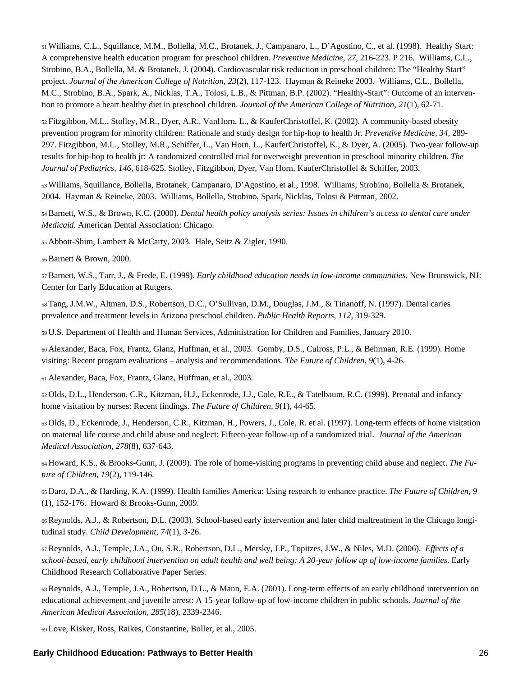51 Williams, C.L., Squillance, M.M., Bollella, M.C., Brotanek, J., Campanaro, L., D'Agostino, C., et al. (1998). Healthy Start: A comprehensive health education program for preschool children. *Preventive Medicine, 27,* 216-223. P 216. Williams, C.L., Strobino, B.A., Bollella, M. & Brotanek, J. (2004). Cardiovascular risk reduction in preschool children: The "Healthy Start" project. *Journal of the American College of Nutrition, 23*(2), 117-123. Hayman & Reineke 2003. Williams, C.L., Bollella, M.C., Strobino, B.A., Spark, A., Nicklas, T.A., Tolosi, L.B., & Pittman, B.P. (2002). "Healthy-Start": Outcome of an intervention to promote a heart healthy diet in preschool children. *Journal of the American College of Nutrition, 21*(1), 62-71.

52 Fitzgibbon, M.L., Stolley, M.R., Dyer, A.R., VanHorn, L., & KauferChristoffel, K. (2002). A community-based obesity prevention program for minority children: Rationale and study design for hip-hop to health Jr. *Preventive Medicine, 34,* 289- 297. Fitzgibbon, M.L., Stolley, M.R., Schiffer, L., Van Horn, L., KauferChristoffel, K., & Dyer, A. (2005). Two-year follow-up results for hip-hop to health jr: A randomized controlled trial for overweight prevention in preschool minority children. *The Journal of Pediatrics, 146,* 618-625. Stolley, Fitzgibbon, Dyer, Van Horn, KauferChristoffel & Schiffer, 2003.

53 Williams, Squillance, Bollella, Brotanek, Campanaro, D'Agostino, et al., 1998. Williams, Strobino, Bollella & Brotanek, 2004. Hayman & Reineke, 2003. Williams, Bollella, Strobino, Spark, Nicklas, Tolosi & Pittman, 2002.

54 Barnett, W.S., & Brown, K.C. (2000). *Dental health policy analysis series: Issues in children's access to dental care under Medicaid*. American Dental Association: Chicago.

55 Abbott-Shim, Lambert & McCarty, 2003. Hale, Seitz & Zigler, 1990.

56 Barnett & Brown, 2000.

57 Barnett, W.S., Tarr, J., & Frede, E. (1999). *Early childhood education needs in low-income communities.* New Brunswick, NJ: Center for Early Education at Rutgers.

58 Tang, J.M.W., Altman, D.S., Robertson, D.C., O'Sullivan, D.M., Douglas, J.M., & Tinanoff, N. (1997). Dental caries prevalence and treatment levels in Arizona preschool children. *Public Health Reports, 112,* 319-329.

59 U.S. Department of Health and Human Services, Administration for Children and Families, January 2010.

60 Alexander, Baca, Fox, Frantz, Glanz, Huffman, et al., 2003. Gomby, D.S., Culross, P.L., & Behrman, R.E. (1999). Home visiting: Recent program evaluations – analysis and recommendations. *The Future of Children, 9*(1), 4-26.

61 Alexander, Baca, Fox, Frantz, Glanz, Huffman, et al., 2003.

62 Olds, D.L., Henderson, C.R., Kitzman, H.J., Eckenrode, J.J., Cole, R.E., & Tatelbaum, R.C. (1999). Prenatal and infancy home visitation by nurses: Recent findings. *The Future of Children, 9*(1), 44-65.

63 Olds, D., Eckenrode, J., Henderson, C.R., Kitzman, H., Powers, J., Cole, R. et al. (1997). Long-term effects of home visitation on maternal life course and child abuse and neglect: Fifteen-year follow-up of a randomized trial. *Journal of the American Medical Association, 278*(8), 637-643.

64 Howard, K.S., & Brooks-Gunn, J. (2009). The role of home-visiting programs in preventing child abuse and neglect. *The Future of Children, 19*(2), 119-146.

65 Daro, D.A., & Harding, K.A. (1999). Health families America: Using research to enhance practice. *The Future of Children, 9* (1), 152-176. Howard & Brooks-Gunn, 2009.

66 Reynolds, A.J., & Robertson, D.L. (2003). School-based early intervention and later child maltreatment in the Chicago longitudinal study. *Child Development, 74*(1), 3-26.

67 Reynolds, A.J., Temple, J.A., Ou, S.R., Robertson, D.L., Mersky, J.P., Topitzes, J.W., & Niles, M.D. (2006). *Effects of a school-based, early childhood intervention on adult health and well being: A 20-year follow up of low-income families*. Early Childhood Research Collaborative Paper Series.

68 Reynolds, A.J., Temple, J.A., Robertson, D.L., & Mann, E.A. (2001). Long-term effects of an early childhood intervention on educational achievement and juvenile arrest: A 15-year follow-up of low-income children in public schools. *Journal of the American Medical Association, 285*(18), 2339-2346.

69 Love, Kisker, Ross, Raikes, Constantine, Boller, et al., 2005.

#### **Early Childhood Education: Pathways to Better Health** 26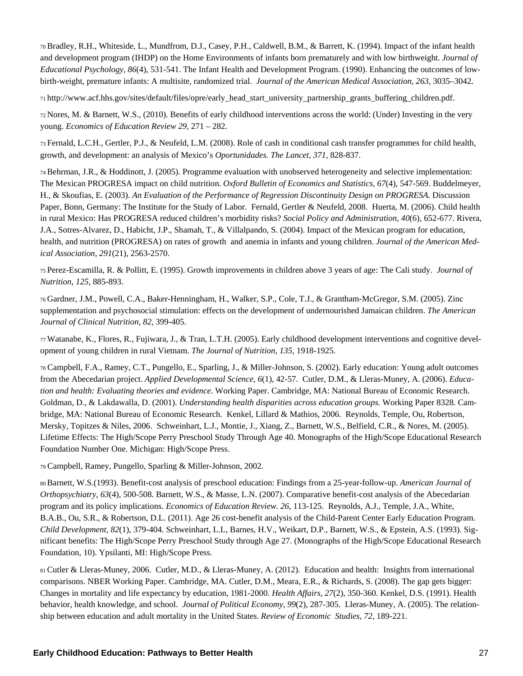70 Bradley, R.H., Whiteside, L., Mundfrom, D.J., Casey, P.H., Caldwell, B.M., & Barrett, K. (1994). Impact of the infant health and development program (IHDP) on the Home Environments of infants born prematurely and with low birthweight. *Journal of Educational Psychology, 86*(4), 531-541. The Infant Health and Development Program. (1990). Enhancing the outcomes of lowbirth-weight, premature infants: A multisite, randomized trial. *Journal of the American Medical Association, 263,* 3035–3042.

71 http://www.acf.hhs.gov/sites/default/files/opre/early\_head\_start\_university\_partnership\_grants\_buffering\_children.pdf.

72 Nores, M. & Barnett, W.S., (2010). Benefits of early childhood interventions across the world: (Under) Investing in the very young. *Economics of Education Review 29,* 271 – 282.

73 Fernald, L.C.H., Gertler, P.J., & Neufeld, L.M. (2008). Role of cash in conditional cash transfer programmes for child health, growth, and development: an analysis of Mexico's *Oportunidades. The Lancet, 371*, 828-837.

74 Behrman, J.R., & Hoddinott, J. (2005). Programme evaluation with unobserved heterogeneity and selective implementation: The Mexican PROGRESA impact on child nutrition. *Oxford Bulletin of Economics and Statistics, 67*(4), 547-569. Buddelmeyer, H., & Skoufias, E. (2003). *An Evaluation of the Performance of Regression Discontinuity Design on PROGRESA.* Discussion Paper, Bonn, Germany: The Institute for the Study of Labor. Fernald, Gertler & Neufeld, 2008. Huerta, M. (2006). Child health in rural Mexico: Has PROGRESA reduced children's morbidity risks? *Social Policy and Administration, 40*(6), 652-677. Rivera, J.A., Sotres-Alvarez, D., Habicht, J.P., Shamah, T., & Villalpando, S. (2004). Impact of the Mexican program for education, health, and nutrition (PROGRESA) on rates of growth and anemia in infants and young children. *Journal of the American Medical Association, 291*(21), 2563-2570.

75 Perez-Escamilla, R. & Pollitt, E. (1995). Growth improvements in children above 3 years of age: The Cali study. *Journal of Nutrition, 125,* 885-893.

76 Gardner, J.M., Powell, C.A., Baker-Henningham, H., Walker, S.P., Cole, T.J., & Grantham-McGregor, S.M. (2005). Zinc supplementation and psychosocial stimulation: effects on the development of undernourished Jamaican children. *The American Journal of Clinical Nutrition, 82,* 399-405.

77 Watanabe, K., Flores, R., Fujiwara, J., & Tran, L.T.H. (2005). Early childhood development interventions and cognitive development of young children in rural Vietnam. *The Journal of Nutrition, 135,* 1918-1925.

<sup>78</sup> Campbell, F.A., Ramey, C.T., Pungello, E., Sparling, J., & Miller-Johnson, S. (2002). Early education: Young adult outcomes from the Abecedarian project. *Applied Developmental Science, 6*(1), 42-57. Cutler, D.M., & Lleras-Muney, A. (2006). *Education and health: Evaluating theories and evidence.* Working Paper. Cambridge, MA: National Bureau of Economic Research. Goldman, D., & Lakdawalla, D. (2001). *Understanding health disparities across education groups.* Working Paper 8328*.* Cambridge, MA: National Bureau of Economic Research. Kenkel, Lillard & Mathios, 2006. Reynolds, Temple, Ou, Robertson, Mersky, Topitzes & Niles, 2006. Schweinhart, L.J., Montie, J., Xiang, Z., Barnett, W.S., Belfield, C.R., & Nores, M. (2005). Lifetime Effects: The High/Scope Perry Preschool Study Through Age 40. Monographs of the High/Scope Educational Research Foundation Number One. Michigan: High/Scope Press.

<sup>79</sup> Campbell, Ramey, Pungello, Sparling & Miller-Johnson, 2002.

80 Barnett, W.S.(1993). Benefit-cost analysis of preschool education: Findings from a 25-year-follow-up. *American Journal of Orthopsychiatry, 63*(4), 500-508. Barnett, W.S., & Masse, L.N. (2007). Comparative benefit-cost analysis of the Abecedarian program and its policy implications. *Economics of Education Review. 26*, 113-125. Reynolds, A.J., Temple, J.A., White, B.A.B., Ou, S.R., & Robertson, D.L. (2011). Age 26 cost-benefit analysis of the Child-Parent Center Early Education Program. *Child Development, 82*(1), 379-404. Schweinhart, L.L, Barnes, H.V., Weikart, D.P., Barnett, W.S., & Epstein, A.S. (1993). Significant benefits: The High/Scope Perry Preschool Study through Age 27. (Monographs of the High/Scope Educational Research Foundation, 10). Ypsilanti, MI: High/Scope Press.

81 Cutler & Lleras-Muney, 2006. Cutler, M.D., & Lleras-Muney, A. (2012). Education and health: Insights from international comparisons. NBER Working Paper. Cambridge, MA. Cutler, D.M., Meara, E.R., & Richards, S. (2008). The gap gets bigger: Changes in mortality and life expectancy by education, 1981-2000. *Health Affairs, 27*(2), 350-360. Kenkel, D.S. (1991). Health behavior, health knowledge, and school. *Journal of Political Economy, 99*(2), 287-305. Lleras-Muney, A. (2005). The relationship between education and adult mortality in the United States. *Review of Economic Studies, 72*, 189-221.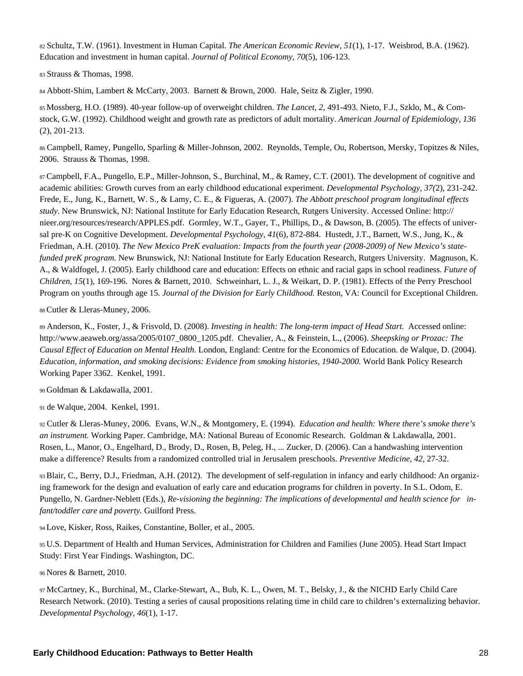<sup>82</sup> Schultz, T.W. (1961). Investment in Human Capital. *The American Economic Review, 51*(1), 1-17. Weisbrod, B.A. (1962). Education and investment in human capital. *Journal of Political Economy, 70*(5), 106-123.

<sup>83</sup> Strauss & Thomas, 1998.

<sup>84</sup> Abbott-Shim, Lambert & McCarty, 2003. Barnett & Brown, 2000. Hale, Seitz & Zigler, 1990.

85 Mossberg, H.O. (1989). 40-year follow-up of overweight children. *The Lancet, 2,* 491-493. Nieto, F.J., Szklo, M., & Comstock, G.W. (1992). Childhood weight and growth rate as predictors of adult mortality. *American Journal of Epidemiology, 136* (2), 201-213.

<sup>86</sup> Campbell, Ramey, Pungello, Sparling & Miller-Johnson, 2002. Reynolds, Temple, Ou, Robertson, Mersky, Topitzes & Niles, 2006. Strauss & Thomas, 1998.

87 Campbell, F.A., Pungello, E.P., Miller-Johnson, S., Burchinal, M., & Ramey, C.T. (2001). The development of cognitive and academic abilities: Growth curves from an early childhood educational experiment. *Developmental Psychology, 37(*2), 231-242. Frede, E., Jung, K., Barnett, W. S., & Lamy, C. E., & Figueras, A. (2007). *The Abbott preschool program longitudinal effects study*. New Brunswick, NJ: National Institute for Early Education Research, Rutgers University. Accessed Online: http:// nieer.org/resources/research/APPLES.pdf. Gormley, W.T., Gayer, T., Phillips, D., & Dawson, B. (2005). The effects of universal pre-K on Cognitive Development. *Developmental Psychology, 41*(6), 872-884. Hustedt, J.T., Barnett, W.S., Jung, K., & Friedman, A.H. (2010). *The New Mexico PreK evaluation: Impacts from the fourth year (2008-2009) of New Mexico's statefunded preK program.* New Brunswick, NJ: National Institute for Early Education Research, Rutgers University. Magnuson, K. A., & Waldfogel, J. (2005). Early childhood care and education: Effects on ethnic and racial gaps in school readiness. *Future of Children, 15*(1), 169-196. Nores & Barnett, 2010. Schweinhart, L. J., & Weikart, D. P. (1981). Effects of the Perry Preschool Program on youths through age 15. *Journal of the Division for Early Childhood.* Reston, VA: Council for Exceptional Children.

88 Cutler & Lleras-Muney, 2006.

<sup>89</sup> Anderson, K., Foster, J., & Frisvold, D. (2008). *Investing in health: The long-term impact of Head Start.* Accessed online: http://www.aeaweb.org/assa/2005/0107\_0800\_1205.pdf. Chevalier, A., & Feinstein, L., (2006). *Sheepsking or Prozac: The Causal Effect of Education on Mental Health.* London, England: Centre for the Economics of Education. de Walque, D. (2004). *Education, information, and smoking decisions: Evidence from smoking histories, 1940-2000.* World Bank Policy Research Working Paper 3362. Kenkel, 1991.

90 Goldman & Lakdawalla, 2001.

<sup>91</sup> de Walque, 2004. Kenkel, 1991.

<sup>92</sup> Cutler & Lleras-Muney, 2006. Evans, W.N., & Montgomery, E. (1994). *Education and health: Where there's smoke there's an instrument.* Working Paper. Cambridge, MA: National Bureau of Economic Research. Goldman & Lakdawalla, 2001. Rosen, L., Manor, O., Engelhard, D., Brody, D., Rosen, B, Peleg, H., ... Zucker, D. (2006). Can a handwashing intervention make a difference? Results from a randomized controlled trial in Jerusalem preschools. *Preventive Medicine, 42*, 27-32.

93 Blair, C., Berry, D.J., Friedman, A.H. (2012). The development of self-regulation in infancy and early childhood: An organizing framework for the design and evaluation of early care and education programs for children in poverty. In S.L. Odom, E. Pungello, N. Gardner-Neblett (Eds.), *Re-visioning the beginning: The implications of developmental and health science for infant/toddler care and poverty.* Guilford Press.

94 Love, Kisker, Ross, Raikes, Constantine, Boller, et al., 2005.

95 U.S. Department of Health and Human Services, Administration for Children and Families (June 2005). Head Start Impact Study: First Year Findings. Washington, DC.

96 Nores & Barnett, 2010.

97 McCartney, K., Burchinal, M., Clarke-Stewart, A., Bub, K. L., Owen, M. T., Belsky, J., & the NICHD Early Child Care Research Network. (2010). Testing a series of causal propositions relating time in child care to children's externalizing behavior. *Developmental Psychology, 46*(1), 1-17.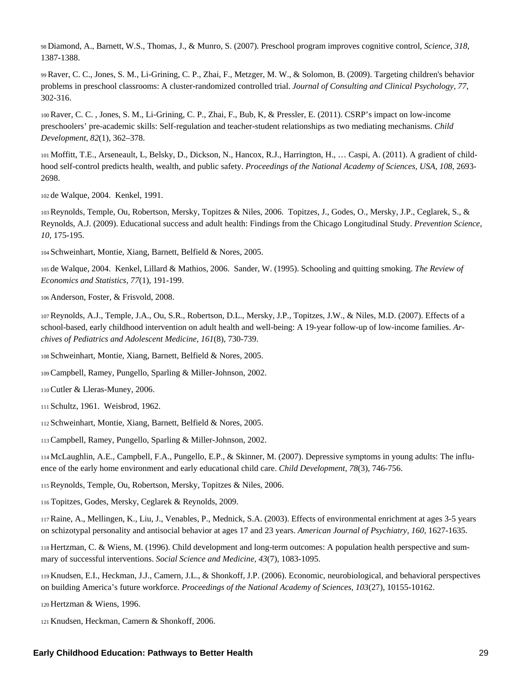98 Diamond, A., Barnett, W.S., Thomas, J., & Munro, S. (2007). Preschool program improves cognitive control, *Science, 318*, 1387-1388.

99 Raver, C. C., Jones, S. M., Li-Grining, C. P., Zhai, F., Metzger, M. W., & Solomon, B. (2009). Targeting children's behavior problems in preschool classrooms: A cluster-randomized controlled trial. *Journal of Consulting and Clinical Psychology, 77,*  302-316.

100 Raver, C. C. , Jones, S. M., Li-Grining, C. P., Zhai, F., Bub, K, & Pressler, E. (2011). CSRP's impact on low-income preschoolers' pre-academic skills: Self-regulation and teacher-student relationships as two mediating mechanisms. *Child Development, 82*(1), 362–378.

101 Moffitt, T.E., Arseneault, L, Belsky, D., Dickson, N., Hancox, R.J., Harrington, H., … Caspi, A. (2011). A gradient of childhood self-control predicts health, wealth, and public safety. *Proceedings of the National Academy of Sciences, USA, 108*, 2693- 2698.

102 de Walque, 2004. Kenkel, 1991.

103 Reynolds, Temple, Ou, Robertson, Mersky, Topitzes & Niles, 2006. Topitzes, J., Godes, O., Mersky, J.P., Ceglarek, S., & Reynolds, A.J. (2009). Educational success and adult health: Findings from the Chicago Longitudinal Study. *Prevention Science, 10*, 175-195.

104 Schweinhart, Montie, Xiang, Barnett, Belfield & Nores, 2005.

105 de Walque, 2004. Kenkel, Lillard & Mathios, 2006. Sander, W. (1995). Schooling and quitting smoking. *The Review of Economics and Statistics, 77*(1), 191-199.

106 Anderson, Foster, & Frisvold, 2008.

107 Reynolds, A.J., Temple, J.A., Ou, S.R., Robertson, D.L., Mersky, J.P., Topitzes, J.W., & Niles, M.D. (2007). Effects of a school-based, early childhood intervention on adult health and well-being: A 19-year follow-up of low-income families. *Archives of Pediatrics and Adolescent Medicine, 161*(8), 730-739.

108 Schweinhart, Montie, Xiang, Barnett, Belfield & Nores, 2005.

109 Campbell, Ramey, Pungello, Sparling & Miller-Johnson, 2002.

110 Cutler & Lleras-Muney, 2006.

111 Schultz, 1961. Weisbrod, 1962.

112 Schweinhart, Montie, Xiang, Barnett, Belfield & Nores, 2005.

113 Campbell, Ramey, Pungello, Sparling & Miller-Johnson, 2002.

114 McLaughlin, A.E., Campbell, F.A., Pungello, E.P., & Skinner, M. (2007). Depressive symptoms in young adults: The influence of the early home environment and early educational child care. *Child Development, 78*(3), 746-756.

115 Reynolds, Temple, Ou, Robertson, Mersky, Topitzes & Niles, 2006.

<sup>116</sup> Topitzes, Godes, Mersky, Ceglarek & Reynolds, 2009.

117 Raine, A., Mellingen, K., Liu, J., Venables, P., Mednick, S.A. (2003). Effects of environmental enrichment at ages 3-5 years on schizotypal personality and antisocial behavior at ages 17 and 23 years. *American Journal of Psychiatry, 160,* 1627-1635.

118 Hertzman, C. & Wiens, M. (1996). Child development and long-term outcomes: A population health perspective and summary of successful interventions. *Social Science and Medicine, 43*(7), 1083-1095.

119 Knudsen, E.I., Heckman, J.J., Camern, J.L., & Shonkoff, J.P. (2006). Economic, neurobiological, and behavioral perspectives on building America's future workforce. *Proceedings of the National Academy of Sciences, 103*(27), 10155-10162.

120 Hertzman & Wiens, 1996.

121 Knudsen, Heckman, Camern & Shonkoff, 2006.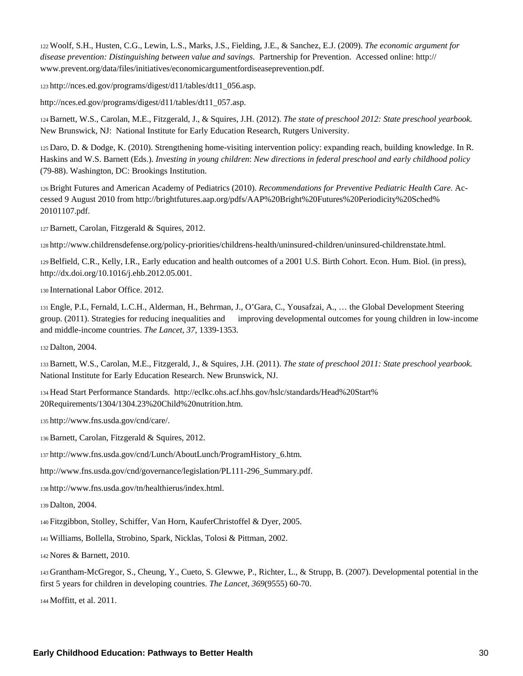122 Woolf, S.H., Husten, C.G., Lewin, L.S., Marks, J.S., Fielding, J.E., & Sanchez, E.J. (2009). *The economic argument for disease prevention: Distinguishing between value and savings*. Partnership for Prevention. Accessed online: http:// www.prevent.org/data/files/initiatives/economicargumentfordiseaseprevention.pdf.

123 http://nces.ed.gov/programs/digest/d11/tables/dt11\_056.asp.

http://nces.ed.gov/programs/digest/d11/tables/dt11\_057.asp.

124 Barnett, W.S., Carolan, M.E., Fitzgerald, J., & Squires, J.H. (2012). *The state of preschool 2012: State preschool yearbook.*  New Brunswick, NJ: National Institute for Early Education Research, Rutgers University.

125 Daro, D. & Dodge, K. (2010). Strengthening home-visiting intervention policy: expanding reach, building knowledge. In R. Haskins and W.S. Barnett (Eds.). *Investing in young children*: *New directions in federal preschool and early childhood policy*  (79-88). Washington, DC: Brookings Institution.

126 Bright Futures and American Academy of Pediatrics (2010). *Recommendations for Preventive Pediatric Health Care.* Accessed 9 August 2010 from http://brightfutures.aap.org/pdfs/AAP%20Bright%20Futures%20Periodicity%20Sched% 20101107.pdf.

127 Barnett, Carolan, Fitzgerald & Squires, 2012.

128 http://www.childrensdefense.org/policy-priorities/childrens-health/uninsured-children/uninsured-childrenstate.html.

129 Belfield, C.R., Kelly, I.R., Early education and health outcomes of a 2001 U.S. Birth Cohort. Econ. Hum. Biol. (in press), http://dx.doi.org/10.1016/j.ehb.2012.05.001.

130 International Labor Office. 2012.

<sup>131</sup> Engle, P.L, Fernald, L.C.H., Alderman, H., Behrman, J., O'Gara, C., Yousafzai, A., … the Global Development Steering group. (2011). Strategies for reducing inequalities and improving developmental outcomes for young children in low-income and middle-income countries. *The Lancet*, *37*, 1339-1353.

132 Dalton, 2004.

133 Barnett, W.S., Carolan, M.E., Fitzgerald, J., & Squires, J.H. (2011). *The state of preschool 2011: State preschool yearbook.*  National Institute for Early Education Research. New Brunswick, NJ.

134 Head Start Performance Standards. http://eclkc.ohs.acf.hhs.gov/hslc/standards/Head%20Start% 20Requirements/1304/1304.23%20Child%20nutrition.htm.

135 http://www.fns.usda.gov/cnd/care/.

136 Barnett, Carolan, Fitzgerald & Squires, 2012.

137 http://www.fns.usda.gov/cnd/Lunch/AboutLunch/ProgramHistory\_6.htm.

http://www.fns.usda.gov/cnd/governance/legislation/PL111-296\_Summary.pdf.

138 http://www.fns.usda.gov/tn/healthierus/index.html.

139 Dalton, 2004.

140 Fitzgibbon, Stolley, Schiffer, Van Horn, KauferChristoffel & Dyer, 2005.

141 Williams, Bollella, Strobino, Spark, Nicklas, Tolosi & Pittman, 2002.

142 Nores & Barnett, 2010.

143 Grantham-McGregor, S., Cheung, Y., Cueto, S. Glewwe, P., Richter, L., & Strupp, B. (2007). Developmental potential in the first 5 years for children in developing countries. *The Lancet, 369*(9555) 60-70.

144 Moffitt, et al. 2011.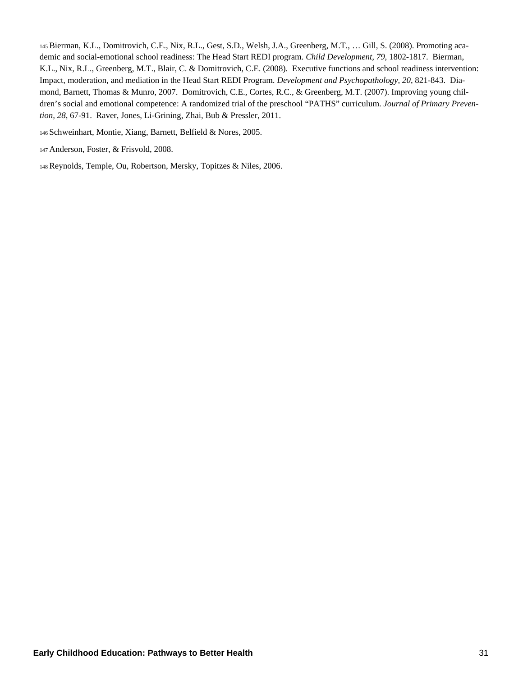145 Bierman, K.L., Domitrovich, C.E., Nix, R.L., Gest, S.D., Welsh, J.A., Greenberg, M.T., … Gill, S. (2008). Promoting academic and social-emotional school readiness: The Head Start REDI program. *Child Development, 79*, 1802-1817. Bierman, K.L., Nix, R.L., Greenberg, M.T., Blair, C. & Domitrovich, C.E. (2008). Executive functions and school readiness intervention: Impact, moderation, and mediation in the Head Start REDI Program. *Development and Psychopathology, 20*, 821-843. Diamond, Barnett, Thomas & Munro, 2007. Domitrovich, C.E., Cortes, R.C., & Greenberg, M.T. (2007). Improving young children's social and emotional competence: A randomized trial of the preschool "PATHS" curriculum. *Journal of Primary Prevention, 28*, 67-91. Raver, Jones, Li-Grining, Zhai, Bub & Pressler, 2011.

146 Schweinhart, Montie, Xiang, Barnett, Belfield & Nores, 2005.

- 147 Anderson, Foster, & Frisvold, 2008.
- 148 Reynolds, Temple, Ou, Robertson, Mersky, Topitzes & Niles, 2006.